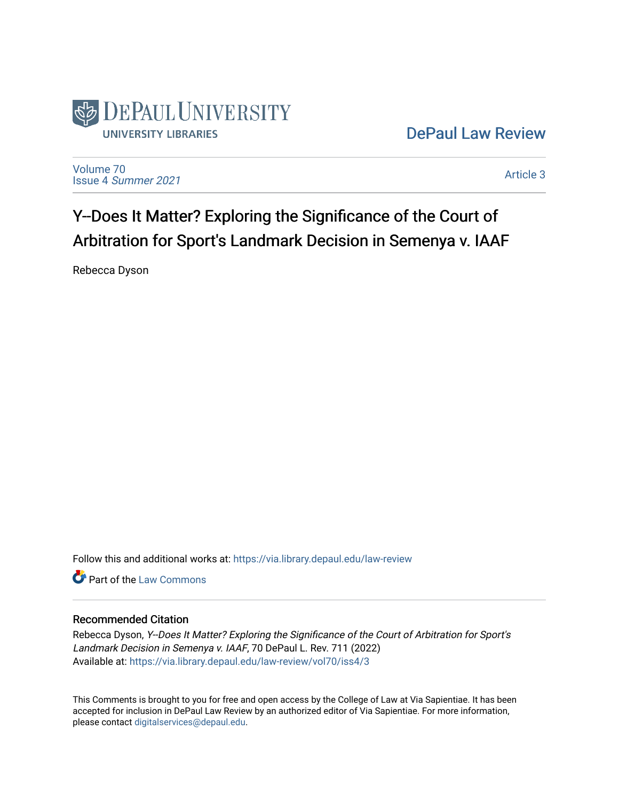

[DePaul Law Review](https://via.library.depaul.edu/law-review) 

[Volume 70](https://via.library.depaul.edu/law-review/vol70) Issue 4 [Summer 2021](https://via.library.depaul.edu/law-review/vol70/iss4) 

[Article 3](https://via.library.depaul.edu/law-review/vol70/iss4/3) 

# Y--Does It Matter? Exploring the Significance of the Court of Arbitration for Sport's Landmark Decision in Semenya v. IAAF

Rebecca Dyson

Follow this and additional works at: [https://via.library.depaul.edu/law-review](https://via.library.depaul.edu/law-review?utm_source=via.library.depaul.edu%2Flaw-review%2Fvol70%2Fiss4%2F3&utm_medium=PDF&utm_campaign=PDFCoverPages) 

Part of the [Law Commons](http://network.bepress.com/hgg/discipline/578?utm_source=via.library.depaul.edu%2Flaw-review%2Fvol70%2Fiss4%2F3&utm_medium=PDF&utm_campaign=PDFCoverPages)

# Recommended Citation

Rebecca Dyson, Y--Does It Matter? Exploring the Significance of the Court of Arbitration for Sport's Landmark Decision in Semenya v. IAAF, 70 DePaul L. Rev. 711 (2022) Available at: [https://via.library.depaul.edu/law-review/vol70/iss4/3](https://via.library.depaul.edu/law-review/vol70/iss4/3?utm_source=via.library.depaul.edu%2Flaw-review%2Fvol70%2Fiss4%2F3&utm_medium=PDF&utm_campaign=PDFCoverPages) 

This Comments is brought to you for free and open access by the College of Law at Via Sapientiae. It has been accepted for inclusion in DePaul Law Review by an authorized editor of Via Sapientiae. For more information, please contact [digitalservices@depaul.edu.](mailto:digitalservices@depaul.edu)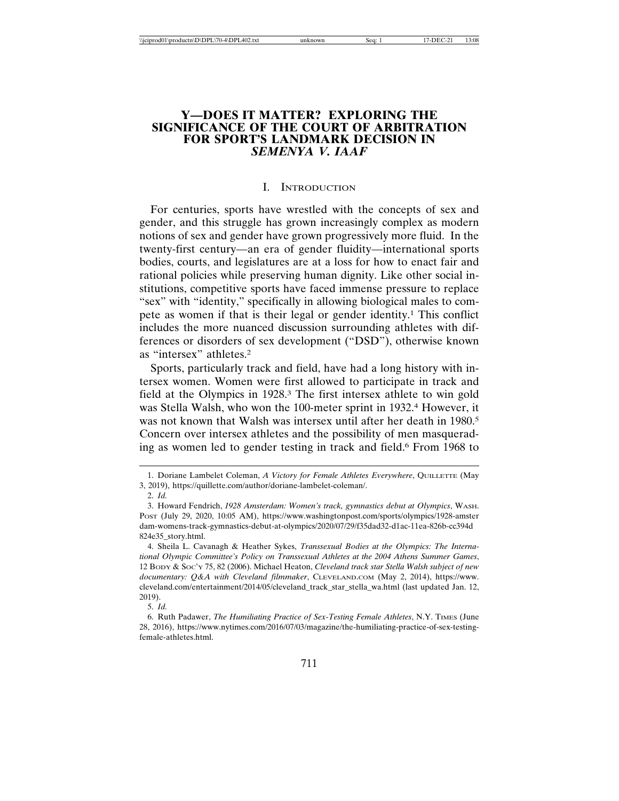## **Y—DOES IT MATTER? EXPLORING THE SIGNIFICANCE OF THE COURT OF ARBITRATION FOR SPORT'S LANDMARK DECISION IN** *SEMENYA V. IAAF*

#### I. INTRODUCTION

For centuries, sports have wrestled with the concepts of sex and gender, and this struggle has grown increasingly complex as modern notions of sex and gender have grown progressively more fluid. In the twenty-first century—an era of gender fluidity—international sports bodies, courts, and legislatures are at a loss for how to enact fair and rational policies while preserving human dignity. Like other social institutions, competitive sports have faced immense pressure to replace "sex" with "identity," specifically in allowing biological males to compete as women if that is their legal or gender identity.1 This conflict includes the more nuanced discussion surrounding athletes with differences or disorders of sex development ("DSD"), otherwise known as "intersex" athletes.2

Sports, particularly track and field, have had a long history with intersex women. Women were first allowed to participate in track and field at the Olympics in 1928.3 The first intersex athlete to win gold was Stella Walsh, who won the 100-meter sprint in 1932.4 However, it was not known that Walsh was intersex until after her death in 1980.<sup>5</sup> Concern over intersex athletes and the possibility of men masquerading as women led to gender testing in track and field.6 From 1968 to

<sup>1.</sup> Doriane Lambelet Coleman, *A Victory for Female Athletes Everywhere*, QUILLETTE (May 3, 2019), https://quillette.com/author/doriane-lambelet-coleman/.

<sup>2.</sup> *Id.*

<sup>3.</sup> Howard Fendrich, *1928 Amsterdam: Women's track, gymnastics debut at Olympics*, WASH. POST (July 29, 2020, 10:05 AM), https://www.washingtonpost.com/sports/olympics/1928-amster dam-womens-track-gymnastics-debut-at-olympics/2020/07/29/f35dad32-d1ac-11ea-826b-cc394d 824e35\_story.html.

<sup>4.</sup> Sheila L. Cavanagh & Heather Sykes, *Transsexual Bodies at the Olympics: The International Olympic Committee's Policy on Transsexual Athletes at the 2004 Athens Summer Games*, 12 BODY & SOC'Y 75, 82 (2006). Michael Heaton, *Cleveland track star Stella Walsh subject of new documentary: Q&A with Cleveland filmmaker*, CLEVELAND.COM (May 2, 2014), https://www. cleveland.com/entertainment/2014/05/cleveland\_track\_star\_stella\_wa.html (last updated Jan. 12, 2019).

<sup>5.</sup> *Id.*

<sup>6.</sup> Ruth Padawer, *The Humiliating Practice of Sex-Testing Female Athletes*, N.Y. TIMES (June 28, 2016), https://www.nytimes.com/2016/07/03/magazine/the-humiliating-practice-of-sex-testingfemale-athletes.html.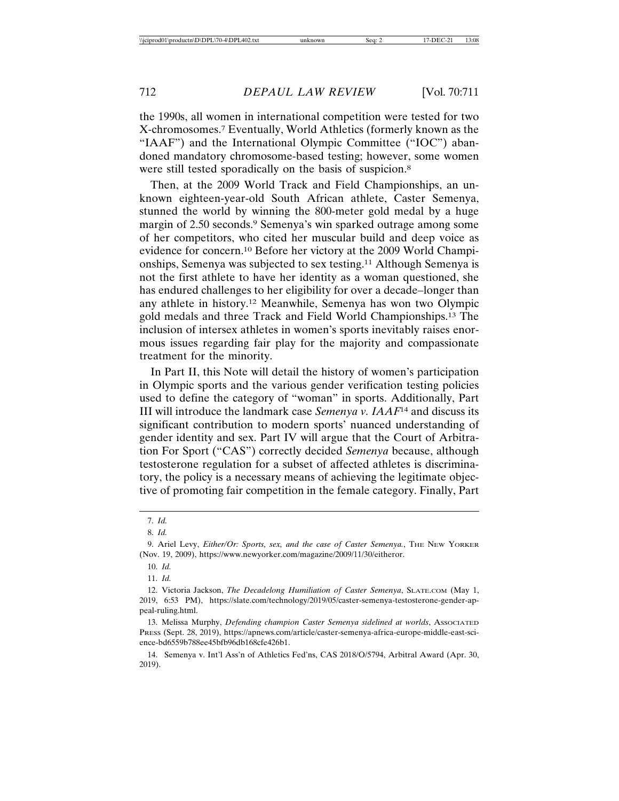the 1990s, all women in international competition were tested for two X-chromosomes.7 Eventually, World Athletics (formerly known as the "IAAF") and the International Olympic Committee ("IOC") abandoned mandatory chromosome-based testing; however, some women were still tested sporadically on the basis of suspicion.<sup>8</sup>

Then, at the 2009 World Track and Field Championships, an unknown eighteen-year-old South African athlete, Caster Semenya, stunned the world by winning the 800-meter gold medal by a huge margin of 2.50 seconds.<sup>9</sup> Semenya's win sparked outrage among some of her competitors, who cited her muscular build and deep voice as evidence for concern.10 Before her victory at the 2009 World Championships, Semenya was subjected to sex testing.11 Although Semenya is not the first athlete to have her identity as a woman questioned, she has endured challenges to her eligibility for over a decade–longer than any athlete in history.12 Meanwhile, Semenya has won two Olympic gold medals and three Track and Field World Championships.13 The inclusion of intersex athletes in women's sports inevitably raises enormous issues regarding fair play for the majority and compassionate treatment for the minority.

In Part II, this Note will detail the history of women's participation in Olympic sports and the various gender verification testing policies used to define the category of "woman" in sports. Additionally, Part III will introduce the landmark case *Semenya v. IAAF*14 and discuss its significant contribution to modern sports' nuanced understanding of gender identity and sex. Part IV will argue that the Court of Arbitration For Sport ("CAS") correctly decided *Semenya* because, although testosterone regulation for a subset of affected athletes is discriminatory, the policy is a necessary means of achieving the legitimate objective of promoting fair competition in the female category. Finally, Part

<sup>7.</sup> *Id.*

<sup>8.</sup> *Id.*

<sup>9.</sup> Ariel Levy, *Either/Or: Sports, sex, and the case of Caster Semenya.*, THE NEW YORKER (Nov. 19, 2009), https://www.newyorker.com/magazine/2009/11/30/eitheror.

<sup>10.</sup> *Id.*

<sup>11.</sup> *Id.*

<sup>12.</sup> Victoria Jackson, *The Decadelong Humiliation of Caster Semenya*, SLATE.COM (May 1, 2019, 6:53 PM), https://slate.com/technology/2019/05/caster-semenya-testosterone-gender-appeal-ruling.html.

<sup>13.</sup> Melissa Murphy, *Defending champion Caster Semenya sidelined at worlds*, ASSOCIATED PRESS (Sept. 28, 2019), https://apnews.com/article/caster-semenya-africa-europe-middle-east-science-bd6559b788ee45bfb96db168cfe426b1.

<sup>14.</sup> Semenya v. Int'l Ass'n of Athletics Fed'ns, CAS 2018/O/5794, Arbitral Award (Apr. 30, 2019).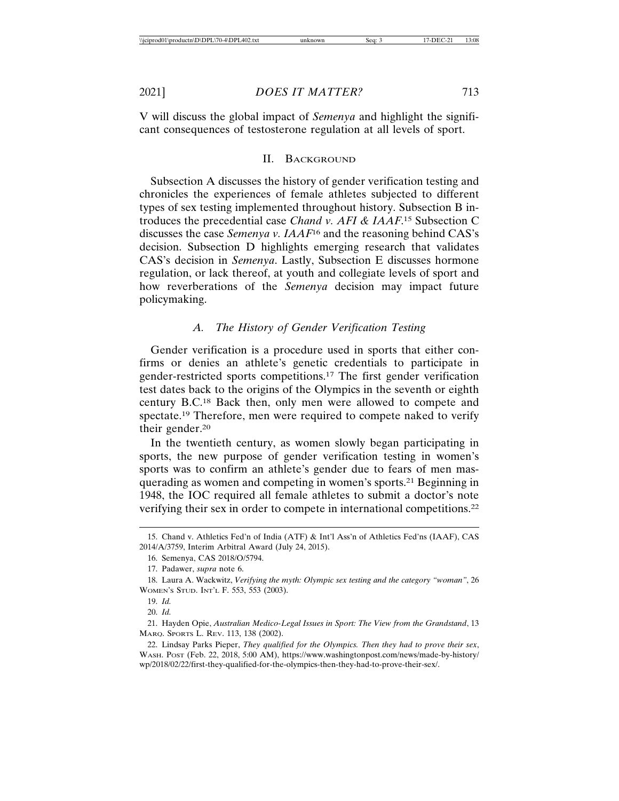V will discuss the global impact of *Semenya* and highlight the significant consequences of testosterone regulation at all levels of sport.

#### II. BACKGROUND

Subsection A discusses the history of gender verification testing and chronicles the experiences of female athletes subjected to different types of sex testing implemented throughout history. Subsection B introduces the precedential case *Chand v. AFI & IAAF*. 15 Subsection C discusses the case *Semenya v. IAAF*16 and the reasoning behind CAS's decision. Subsection D highlights emerging research that validates CAS's decision in *Semenya*. Lastly, Subsection E discusses hormone regulation, or lack thereof, at youth and collegiate levels of sport and how reverberations of the *Semenya* decision may impact future policymaking.

## *A. The History of Gender Verification Testing*

Gender verification is a procedure used in sports that either confirms or denies an athlete's genetic credentials to participate in gender-restricted sports competitions.17 The first gender verification test dates back to the origins of the Olympics in the seventh or eighth century B.C.18 Back then, only men were allowed to compete and spectate.19 Therefore, men were required to compete naked to verify their gender.20

In the twentieth century, as women slowly began participating in sports, the new purpose of gender verification testing in women's sports was to confirm an athlete's gender due to fears of men masquerading as women and competing in women's sports.21 Beginning in 1948, the IOC required all female athletes to submit a doctor's note verifying their sex in order to compete in international competitions.22

<sup>15.</sup> Chand v. Athletics Fed'n of India (ATF) & Int'l Ass'n of Athletics Fed'ns (IAAF), CAS 2014/A/3759, Interim Arbitral Award (July 24, 2015).

<sup>16.</sup> Semenya, CAS 2018/O/5794.

<sup>17.</sup> Padawer, *supra* note 6.

<sup>18.</sup> Laura A. Wackwitz, *Verifying the myth: Olympic sex testing and the category "woman"*, 26 WOMEN'S STUD. INT'L F. 553, 553 (2003).

<sup>19.</sup> *Id.*

<sup>20.</sup> *Id.*

<sup>21.</sup> Hayden Opie, *Australian Medico-Legal Issues in Sport: The View from the Grandstand*, 13 MARQ. SPORTS L. REV. 113, 138 (2002).

<sup>22.</sup> Lindsay Parks Pieper, *They qualified for the Olympics. Then they had to prove their sex*, WASH. POST (Feb. 22, 2018, 5:00 AM), https://www.washingtonpost.com/news/made-by-history/ wp/2018/02/22/first-they-qualified-for-the-olympics-then-they-had-to-prove-their-sex/.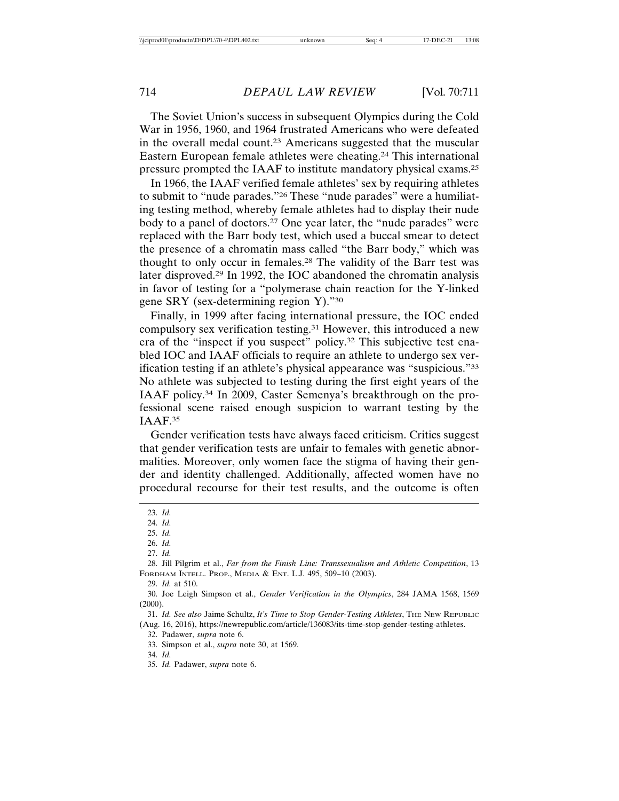The Soviet Union's success in subsequent Olympics during the Cold War in 1956, 1960, and 1964 frustrated Americans who were defeated in the overall medal count.23 Americans suggested that the muscular Eastern European female athletes were cheating.24 This international pressure prompted the IAAF to institute mandatory physical exams.25

In 1966, the IAAF verified female athletes' sex by requiring athletes to submit to "nude parades."26 These "nude parades" were a humiliating testing method, whereby female athletes had to display their nude body to a panel of doctors.27 One year later, the "nude parades" were replaced with the Barr body test, which used a buccal smear to detect the presence of a chromatin mass called "the Barr body," which was thought to only occur in females.28 The validity of the Barr test was later disproved.29 In 1992, the IOC abandoned the chromatin analysis in favor of testing for a "polymerase chain reaction for the Y-linked gene SRY (sex-determining region Y)."30

Finally, in 1999 after facing international pressure, the IOC ended compulsory sex verification testing.31 However, this introduced a new era of the "inspect if you suspect" policy.32 This subjective test enabled IOC and IAAF officials to require an athlete to undergo sex verification testing if an athlete's physical appearance was "suspicious."33 No athlete was subjected to testing during the first eight years of the IAAF policy.34 In 2009, Caster Semenya's breakthrough on the professional scene raised enough suspicion to warrant testing by the IAAF.35

Gender verification tests have always faced criticism. Critics suggest that gender verification tests are unfair to females with genetic abnormalities. Moreover, only women face the stigma of having their gender and identity challenged. Additionally, affected women have no procedural recourse for their test results, and the outcome is often

33. Simpson et al., *supra* note 30, at 1569.

<sup>23.</sup> *Id.*

<sup>24.</sup> *Id.*

<sup>25.</sup> *Id.*

<sup>26.</sup> *Id.*

<sup>27.</sup> *Id.*

<sup>28.</sup> Jill Pilgrim et al., *Far from the Finish Line: Transsexualism and Athletic Competition*, 13 FORDHAM INTELL. PROP., MEDIA & ENT. L.J. 495, 509–10 (2003).

<sup>29.</sup> *Id.* at 510.

<sup>30.</sup> Joe Leigh Simpson et al., *Gender Verification in the Olympics*, 284 JAMA 1568, 1569 (2000).

<sup>31.</sup> *Id. See also* Jaime Schultz, *It's Time to Stop Gender-Testing Athletes*, THE NEW REPUBLIC (Aug. 16, 2016), https://newrepublic.com/article/136083/its-time-stop-gender-testing-athletes.

<sup>32.</sup> Padawer, *supra* note 6.

<sup>34.</sup> *Id.*

<sup>35.</sup> *Id.* Padawer, *supra* note 6.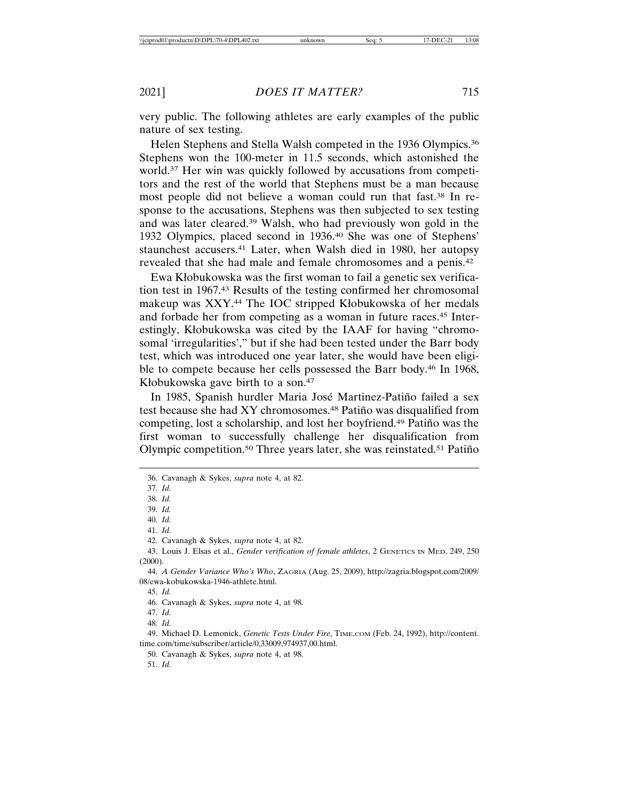very public. The following athletes are early examples of the public nature of sex testing.

Helen Stephens and Stella Walsh competed in the 1936 Olympics.<sup>36</sup> Stephens won the 100-meter in 11.5 seconds, which astonished the world.37 Her win was quickly followed by accusations from competitors and the rest of the world that Stephens must be a man because most people did not believe a woman could run that fast.38 In response to the accusations, Stephens was then subjected to sex testing and was later cleared.39 Walsh, who had previously won gold in the 1932 Olympics, placed second in 1936.40 She was one of Stephens' staunchest accusers.41 Later, when Walsh died in 1980, her autopsy revealed that she had male and female chromosomes and a penis.42

Ewa Kłobukowska was the first woman to fail a genetic sex verification test in 1967.43 Results of the testing confirmed her chromosomal makeup was XXY.44 The IOC stripped Kłobukowska of her medals and forbade her from competing as a woman in future races.45 Interestingly, Kłobukowska was cited by the IAAF for having "chromosomal 'irregularities'," but if she had been tested under the Barr body test, which was introduced one year later, she would have been eligible to compete because her cells possessed the Barr body.46 In 1968, Kłobukowska gave birth to a son.47

In 1985, Spanish hurdler Maria José Martinez-Patiño failed a sex test because she had XY chromosomes.<sup>48</sup> Patiño was disqualified from competing, lost a scholarship, and lost her boyfriend.<sup>49</sup> Patino was the first woman to successfully challenge her disqualification from Olympic competition.<sup>50</sup> Three years later, she was reinstated.<sup>51</sup> Patin<sup>o</sup>

49. Michael D. Lemonick, *Genetic Tests Under Fire*, TIME.COM (Feb. 24, 1992), http://content. time.com/time/subscriber/article/0,33009,974937,00.html.

<sup>36.</sup> Cavanagh & Sykes, *supra* note 4, at 82.

<sup>37.</sup> *Id.*

<sup>38.</sup> *Id.*

<sup>39.</sup> *Id.*

<sup>40.</sup> *Id.*

<sup>41.</sup> *Id.*

<sup>42.</sup> Cavanagh & Sykes, *supra* note 4, at 82.

<sup>43.</sup> Louis J. Elsas et al., *Gender verification of female athletes*, 2 GENETICS IN MED. 249, 250 (2000).

<sup>44.</sup> *A Gender Variance Who's Who*, ZAGRIA (Aug. 25, 2009), http://zagria.blogspot.com/2009/ 08/ewa-kobukowska-1946-athlete.html.

<sup>45.</sup> *Id.*

<sup>46.</sup> Cavanagh & Sykes, *supra* note 4, at 98.

<sup>47.</sup> *Id.*

<sup>48.</sup> *Id.*

<sup>50.</sup> Cavanagh & Sykes, *supra* note 4, at 98.

<sup>51.</sup> *Id.*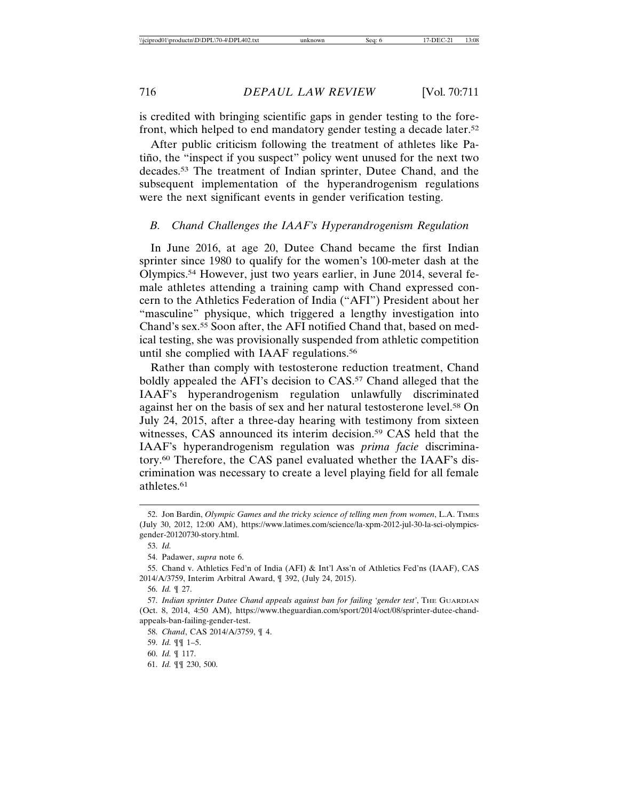is credited with bringing scientific gaps in gender testing to the forefront, which helped to end mandatory gender testing a decade later.52

After public criticism following the treatment of athletes like Patiño, the "inspect if you suspect" policy went unused for the next two decades.53 The treatment of Indian sprinter, Dutee Chand, and the subsequent implementation of the hyperandrogenism regulations were the next significant events in gender verification testing.

#### *B. Chand Challenges the IAAF's Hyperandrogenism Regulation*

In June 2016, at age 20, Dutee Chand became the first Indian sprinter since 1980 to qualify for the women's 100-meter dash at the Olympics.54 However, just two years earlier, in June 2014, several female athletes attending a training camp with Chand expressed concern to the Athletics Federation of India ("AFI") President about her "masculine" physique, which triggered a lengthy investigation into Chand's sex.55 Soon after, the AFI notified Chand that, based on medical testing, she was provisionally suspended from athletic competition until she complied with IAAF regulations.56

Rather than comply with testosterone reduction treatment, Chand boldly appealed the AFI's decision to CAS.<sup>57</sup> Chand alleged that the IAAF's hyperandrogenism regulation unlawfully discriminated against her on the basis of sex and her natural testosterone level.58 On July 24, 2015, after a three-day hearing with testimony from sixteen witnesses, CAS announced its interim decision.<sup>59</sup> CAS held that the IAAF's hyperandrogenism regulation was *prima facie* discriminatory.60 Therefore, the CAS panel evaluated whether the IAAF's discrimination was necessary to create a level playing field for all female athletes.61

61. *Id.* ¶¶ 230, 500.

<sup>52.</sup> Jon Bardin, *Olympic Games and the tricky science of telling men from women*, L.A. TIMES (July 30, 2012, 12:00 AM), https://www.latimes.com/science/la-xpm-2012-jul-30-la-sci-olympicsgender-20120730-story.html.

<sup>53.</sup> *Id.*

<sup>54.</sup> Padawer, *supra* note 6.

<sup>55.</sup> Chand v. Athletics Fed'n of India (AFI) & Int'l Ass'n of Athletics Fed'ns (IAAF), CAS 2014/A/3759, Interim Arbitral Award, ¶ 392, (July 24, 2015).

<sup>56.</sup> *Id.* ¶ 27.

<sup>57.</sup> *Indian sprinter Dutee Chand appeals against ban for failing 'gender test'*, THE GUARDIAN (Oct. 8, 2014, 4:50 AM), https://www.theguardian.com/sport/2014/oct/08/sprinter-dutee-chandappeals-ban-failing-gender-test.

<sup>58.</sup> *Chand*, CAS 2014/A/3759, ¶ 4.

<sup>59.</sup> *Id.* ¶¶ 1–5.

<sup>60.</sup> *Id.* ¶ 117.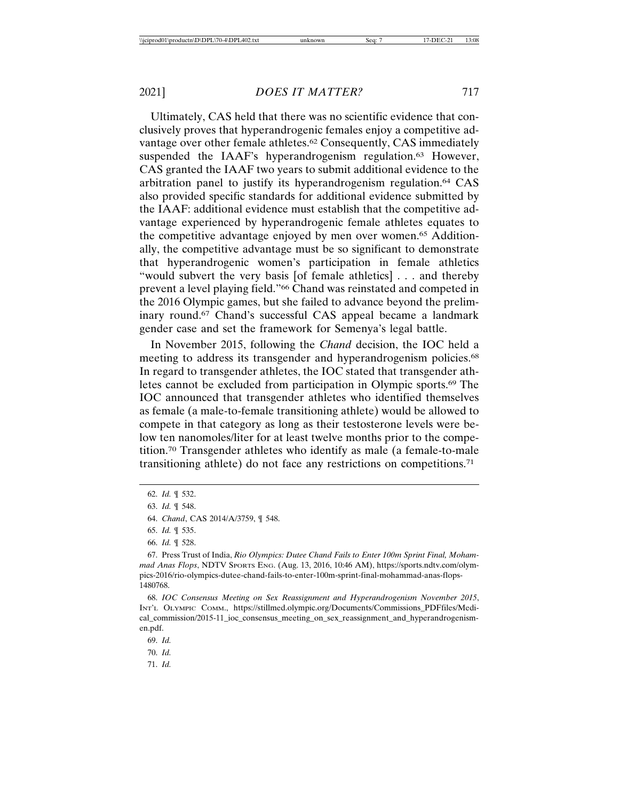Ultimately, CAS held that there was no scientific evidence that conclusively proves that hyperandrogenic females enjoy a competitive advantage over other female athletes.<sup>62</sup> Consequently, CAS immediately suspended the IAAF's hyperandrogenism regulation.<sup>63</sup> However, CAS granted the IAAF two years to submit additional evidence to the arbitration panel to justify its hyperandrogenism regulation.64 CAS also provided specific standards for additional evidence submitted by the IAAF: additional evidence must establish that the competitive advantage experienced by hyperandrogenic female athletes equates to the competitive advantage enjoyed by men over women.65 Additionally, the competitive advantage must be so significant to demonstrate that hyperandrogenic women's participation in female athletics "would subvert the very basis [of female athletics] . . . and thereby prevent a level playing field."66 Chand was reinstated and competed in the 2016 Olympic games, but she failed to advance beyond the preliminary round.<sup>67</sup> Chand's successful CAS appeal became a landmark gender case and set the framework for Semenya's legal battle.

In November 2015, following the *Chand* decision, the IOC held a meeting to address its transgender and hyperandrogenism policies.<sup>68</sup> In regard to transgender athletes, the IOC stated that transgender athletes cannot be excluded from participation in Olympic sports.69 The IOC announced that transgender athletes who identified themselves as female (a male-to-female transitioning athlete) would be allowed to compete in that category as long as their testosterone levels were below ten nanomoles/liter for at least twelve months prior to the competition.70 Transgender athletes who identify as male (a female-to-male transitioning athlete) do not face any restrictions on competitions.71

70. *Id.*

<sup>62.</sup> *Id.* ¶ 532.

<sup>63.</sup> *Id.* ¶ 548.

<sup>64.</sup> *Chand*, CAS 2014/A/3759, ¶ 548.

<sup>65.</sup> *Id.* ¶ 535.

<sup>66.</sup> *Id.* ¶ 528.

<sup>67.</sup> Press Trust of India, *Rio Olympics: Dutee Chand Fails to Enter 100m Sprint Final, Mohammad Anas Flops*, NDTV SPORTS ENG. (Aug. 13, 2016, 10:46 AM), https://sports.ndtv.com/olympics-2016/rio-olympics-dutee-chand-fails-to-enter-100m-sprint-final-mohammad-anas-flops-1480768.

<sup>68.</sup> *IOC Consensus Meeting on Sex Reassignment and Hyperandrogenism November 2015*, INT'L OLYMPIC COMM., https://stillmed.olympic.org/Documents/Commissions\_PDFfiles/Medical\_commission/2015-11\_ioc\_consensus\_meeting\_on\_sex\_reassignment\_and\_hyperandrogenismen.pdf.

<sup>69.</sup> *Id.*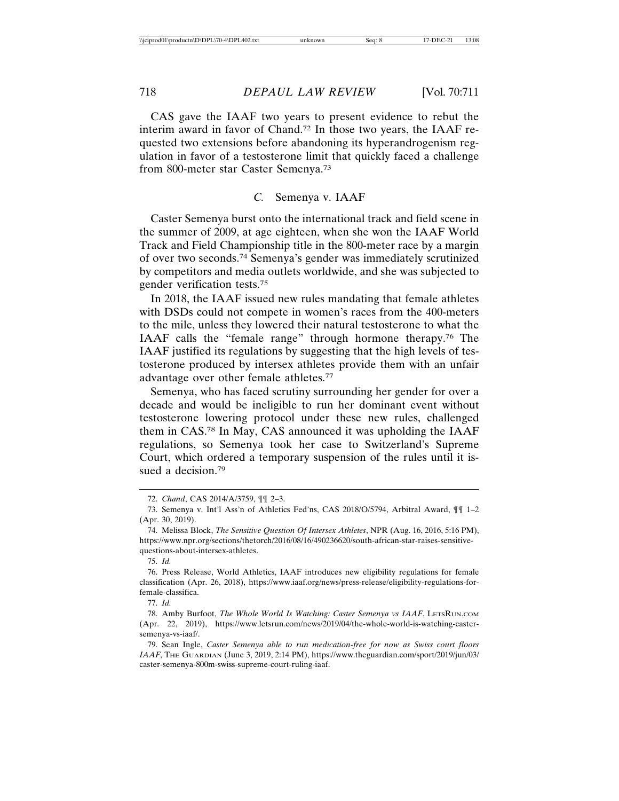CAS gave the IAAF two years to present evidence to rebut the interim award in favor of Chand.72 In those two years, the IAAF requested two extensions before abandoning its hyperandrogenism regulation in favor of a testosterone limit that quickly faced a challenge from 800-meter star Caster Semenya.73

## *C.* Semenya v. IAAF

Caster Semenya burst onto the international track and field scene in the summer of 2009, at age eighteen, when she won the IAAF World Track and Field Championship title in the 800-meter race by a margin of over two seconds.74 Semenya's gender was immediately scrutinized by competitors and media outlets worldwide, and she was subjected to gender verification tests.75

In 2018, the IAAF issued new rules mandating that female athletes with DSDs could not compete in women's races from the 400-meters to the mile, unless they lowered their natural testosterone to what the IAAF calls the "female range" through hormone therapy.76 The IAAF justified its regulations by suggesting that the high levels of testosterone produced by intersex athletes provide them with an unfair advantage over other female athletes.77

Semenya, who has faced scrutiny surrounding her gender for over a decade and would be ineligible to run her dominant event without testosterone lowering protocol under these new rules, challenged them in CAS.78 In May, CAS announced it was upholding the IAAF regulations, so Semenya took her case to Switzerland's Supreme Court, which ordered a temporary suspension of the rules until it issued a decision.<sup>79</sup>

<sup>72.</sup> *Chand*, CAS 2014/A/3759, ¶¶ 2–3.

<sup>73.</sup> Semenya v. Int'l Ass'n of Athletics Fed'ns, CAS 2018/O/5794, Arbitral Award, ¶¶ 1–2 (Apr. 30, 2019).

<sup>74.</sup> Melissa Block, *The Sensitive Question Of Intersex Athletes*, NPR (Aug. 16, 2016, 5:16 PM), https://www.npr.org/sections/thetorch/2016/08/16/490236620/south-african-star-raises-sensitivequestions-about-intersex-athletes.

<sup>76.</sup> Press Release, World Athletics, IAAF introduces new eligibility regulations for female classification (Apr. 26, 2018), https://www.iaaf.org/news/press-release/eligibility-regulations-forfemale-classifica.

<sup>77.</sup> *Id.*

<sup>78.</sup> Amby Burfoot, *The Whole World Is Watching: Caster Semenya vs IAAF*, LETSRUN.COM (Apr. 22, 2019), https://www.letsrun.com/news/2019/04/the-whole-world-is-watching-castersemenya-vs-iaaf/.

<sup>79.</sup> Sean Ingle, *Caster Semenya able to run medication-free for now as Swiss court floors IAAF*, THE GUARDIAN (June 3, 2019, 2:14 PM), https://www.theguardian.com/sport/2019/jun/03/ caster-semenya-800m-swiss-supreme-court-ruling-iaaf.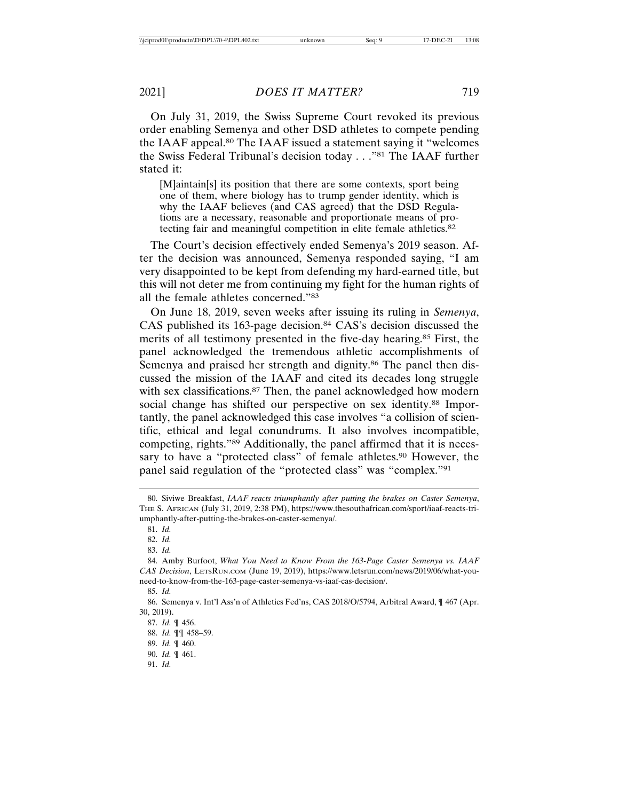On July 31, 2019, the Swiss Supreme Court revoked its previous order enabling Semenya and other DSD athletes to compete pending the IAAF appeal.80 The IAAF issued a statement saying it "welcomes the Swiss Federal Tribunal's decision today . . ."81 The IAAF further stated it:

[M]aintain[s] its position that there are some contexts, sport being one of them, where biology has to trump gender identity, which is why the IAAF believes (and CAS agreed) that the DSD Regulations are a necessary, reasonable and proportionate means of protecting fair and meaningful competition in elite female athletics.82

The Court's decision effectively ended Semenya's 2019 season. After the decision was announced, Semenya responded saying, "I am very disappointed to be kept from defending my hard-earned title, but this will not deter me from continuing my fight for the human rights of all the female athletes concerned."83

On June 18, 2019, seven weeks after issuing its ruling in *Semenya*, CAS published its 163-page decision.<sup>84</sup> CAS's decision discussed the merits of all testimony presented in the five-day hearing.85 First, the panel acknowledged the tremendous athletic accomplishments of Semenya and praised her strength and dignity.<sup>86</sup> The panel then discussed the mission of the IAAF and cited its decades long struggle with sex classifications.<sup>87</sup> Then, the panel acknowledged how modern social change has shifted our perspective on sex identity.<sup>88</sup> Importantly, the panel acknowledged this case involves "a collision of scientific, ethical and legal conundrums. It also involves incompatible, competing, rights."89 Additionally, the panel affirmed that it is necessary to have a "protected class" of female athletes.<sup>90</sup> However, the panel said regulation of the "protected class" was "complex."91

<sup>80.</sup> Siviwe Breakfast, *IAAF reacts triumphantly after putting the brakes on Caster Semenya*, THE S. AFRICAN (July 31, 2019, 2:38 PM), https://www.thesouthafrican.com/sport/iaaf-reacts-triumphantly-after-putting-the-brakes-on-caster-semenya/.

<sup>81.</sup> *Id.*

<sup>82.</sup> *Id.*

<sup>83.</sup> *Id.*

<sup>84.</sup> Amby Burfoot, *What You Need to Know From the 163-Page Caster Semenya vs. IAAF CAS Decision*, LETSRUN.COM (June 19, 2019), https://www.letsrun.com/news/2019/06/what-youneed-to-know-from-the-163-page-caster-semenya-vs-iaaf-cas-decision/.

<sup>85.</sup> *Id.*

<sup>86.</sup> Semenya v. Int'l Ass'n of Athletics Fed'ns, CAS 2018/O/5794, Arbitral Award, ¶ 467 (Apr. 30, 2019).

<sup>87.</sup> *Id.* ¶ 456.

<sup>88.</sup> *Id.* ¶¶ 458–59.

<sup>89.</sup> *Id.* ¶ 460.

<sup>90.</sup> *Id.* ¶ 461.

<sup>91.</sup> *Id.*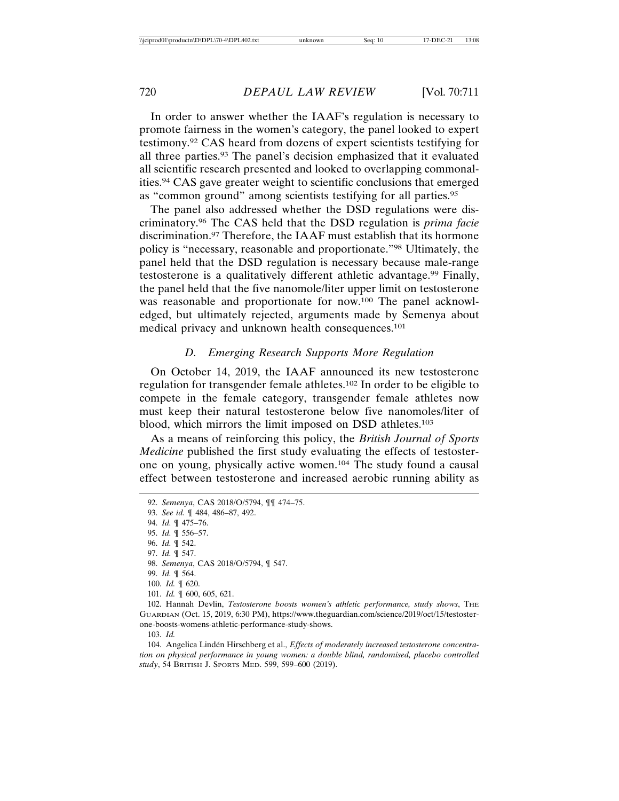In order to answer whether the IAAF's regulation is necessary to promote fairness in the women's category, the panel looked to expert testimony.92 CAS heard from dozens of expert scientists testifying for all three parties.93 The panel's decision emphasized that it evaluated all scientific research presented and looked to overlapping commonalities.94 CAS gave greater weight to scientific conclusions that emerged as "common ground" among scientists testifying for all parties.95

The panel also addressed whether the DSD regulations were discriminatory.96 The CAS held that the DSD regulation is *prima facie* discrimination.97 Therefore, the IAAF must establish that its hormone policy is "necessary, reasonable and proportionate."98 Ultimately, the panel held that the DSD regulation is necessary because male-range testosterone is a qualitatively different athletic advantage.99 Finally, the panel held that the five nanomole/liter upper limit on testosterone was reasonable and proportionate for now.100 The panel acknowledged, but ultimately rejected, arguments made by Semenya about medical privacy and unknown health consequences.101

#### *D. Emerging Research Supports More Regulation*

On October 14, 2019, the IAAF announced its new testosterone regulation for transgender female athletes.102 In order to be eligible to compete in the female category, transgender female athletes now must keep their natural testosterone below five nanomoles/liter of blood, which mirrors the limit imposed on DSD athletes.103

As a means of reinforcing this policy, the *British Journal of Sports Medicine* published the first study evaluating the effects of testosterone on young, physically active women.104 The study found a causal effect between testosterone and increased aerobic running ability as

<sup>92.</sup> *Semenya*, CAS 2018/O/5794, ¶¶ 474–75.

<sup>93.</sup> *See id.* ¶ 484, 486–87, 492.

<sup>94.</sup> *Id.* ¶ 475–76.

<sup>95.</sup> *Id.* ¶ 556–57.

<sup>96.</sup> *Id.* ¶ 542.

<sup>97.</sup> *Id.* ¶ 547.

<sup>98.</sup> *Semenya*, CAS 2018/O/5794, ¶ 547.

<sup>99.</sup> *Id.* ¶ 564.

<sup>100.</sup> *Id.* ¶ 620.

<sup>101.</sup> *Id.* ¶ 600, 605, 621.

<sup>102.</sup> Hannah Devlin, *Testosterone boosts women's athletic performance*, study shows, THE GUARDIAN (Oct. 15, 2019, 6:30 PM), https://www.theguardian.com/science/2019/oct/15/testosterone-boosts-womens-athletic-performance-study-shows.

<sup>103.</sup> *Id.*

<sup>104.</sup> Angelica Lindén Hirschberg et al., *Effects of moderately increased testosterone concentration on physical performance in young women: a double blind, randomised, placebo controlled study*, 54 BRITISH J. SPORTS MED. 599, 599–600 (2019).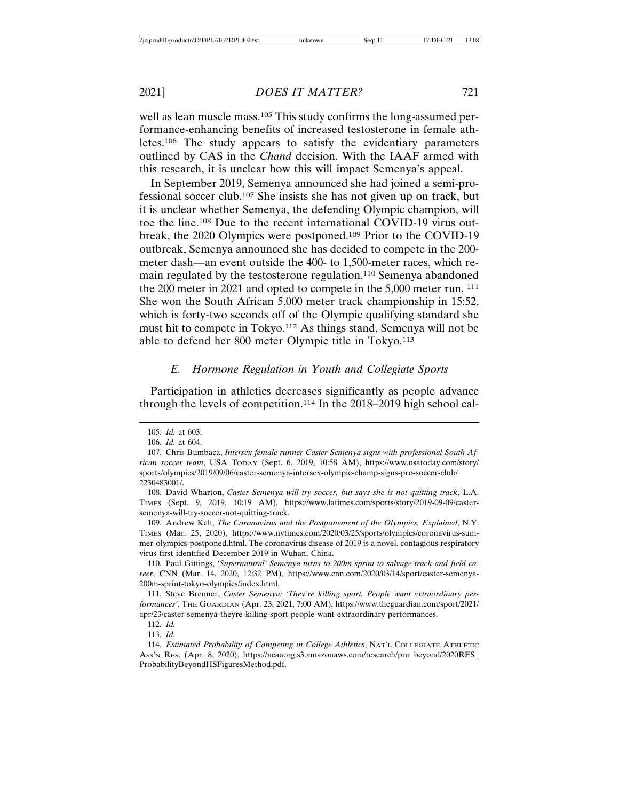well as lean muscle mass.<sup>105</sup> This study confirms the long-assumed performance-enhancing benefits of increased testosterone in female athletes.106 The study appears to satisfy the evidentiary parameters outlined by CAS in the *Chand* decision. With the IAAF armed with this research, it is unclear how this will impact Semenya's appeal.

In September 2019, Semenya announced she had joined a semi-professional soccer club.107 She insists she has not given up on track, but it is unclear whether Semenya, the defending Olympic champion, will toe the line.108 Due to the recent international COVID-19 virus outbreak, the 2020 Olympics were postponed.109 Prior to the COVID-19 outbreak, Semenya announced she has decided to compete in the 200 meter dash—an event outside the 400- to 1,500-meter races, which remain regulated by the testosterone regulation.110 Semenya abandoned the 200 meter in 2021 and opted to compete in the 5,000 meter run. 111 She won the South African 5,000 meter track championship in 15:52, which is forty-two seconds off of the Olympic qualifying standard she must hit to compete in Tokyo.112 As things stand, Semenya will not be able to defend her 800 meter Olympic title in Tokyo.113

### *E. Hormone Regulation in Youth and Collegiate Sports*

Participation in athletics decreases significantly as people advance through the levels of competition.114 In the 2018–2019 high school cal-

109. Andrew Keh, *The Coronavirus and the Postponement of the Olympics, Explained*, N.Y. TIMES (Mar. 25, 2020), https://www.nytimes.com/2020/03/25/sports/olympics/coronavirus-summer-olympics-postponed.html. The coronavirus disease of 2019 is a novel, contagious respiratory virus first identified December 2019 in Wuhan, China.

110. Paul Gittings, *'Supernatural' Semenya turns to 200m sprint to salvage track and field career*, CNN (Mar. 14, 2020, 12:32 PM), https://www.cnn.com/2020/03/14/sport/caster-semenya-200m-sprint-tokyo-olympics/index.html.

111. Steve Brenner, *Caster Semenya: 'They're killing sport. People want extraordinary performances'*, THE GUARDIAN (Apr. 23, 2021, 7:00 AM), https://www.theguardian.com/sport/2021/ apr/23/caster-semenya-theyre-killing-sport-people-want-extraordinary-performances.

113. *Id.*

114. *Estimated Probability of Competing in College Athletics*, NAT'L COLLEGIATE ATHLETIC ASS'N RES. (Apr. 8, 2020), https://ncaaorg.s3.amazonaws.com/research/pro\_beyond/2020RES\_ ProbabilityBeyondHSFiguresMethod.pdf.

<sup>105.</sup> *Id.* at 603.

<sup>106.</sup> *Id.* at 604.

<sup>107.</sup> Chris Bumbaca, *Intersex female runner Caster Semenya signs with professional South African soccer team*, USA TODAY (Sept. 6, 2019, 10:58 AM), https://www.usatoday.com/story/ sports/olympics/2019/09/06/caster-semenya-intersex-olympic-champ-signs-pro-soccer-club/ 2230483001/.

<sup>108.</sup> David Wharton, *Caster Semenya will try soccer, but says she is not quitting track*, L.A. TIMES (Sept. 9, 2019, 10:19 AM), https://www.latimes.com/sports/story/2019-09-09/castersemenya-will-try-soccer-not-quitting-track.

<sup>112.</sup> *Id.*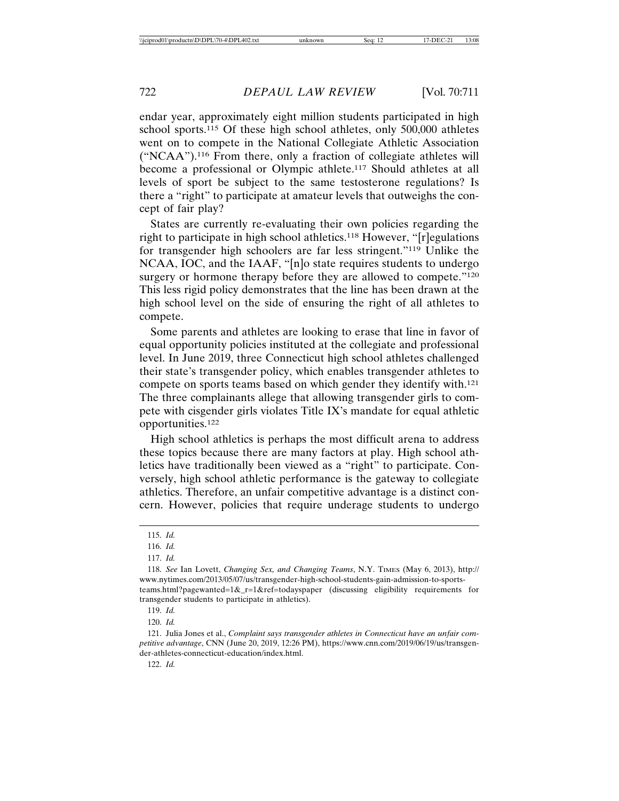endar year, approximately eight million students participated in high school sports.115 Of these high school athletes, only 500,000 athletes went on to compete in the National Collegiate Athletic Association ("NCAA").116 From there, only a fraction of collegiate athletes will become a professional or Olympic athlete.117 Should athletes at all levels of sport be subject to the same testosterone regulations? Is there a "right" to participate at amateur levels that outweighs the concept of fair play?

States are currently re-evaluating their own policies regarding the right to participate in high school athletics.118 However, "[r]egulations for transgender high schoolers are far less stringent."119 Unlike the NCAA, IOC, and the IAAF, "[n]o state requires students to undergo surgery or hormone therapy before they are allowed to compete."<sup>120</sup> This less rigid policy demonstrates that the line has been drawn at the high school level on the side of ensuring the right of all athletes to compete.

Some parents and athletes are looking to erase that line in favor of equal opportunity policies instituted at the collegiate and professional level. In June 2019, three Connecticut high school athletes challenged their state's transgender policy, which enables transgender athletes to compete on sports teams based on which gender they identify with.121 The three complainants allege that allowing transgender girls to compete with cisgender girls violates Title IX's mandate for equal athletic opportunities.122

High school athletics is perhaps the most difficult arena to address these topics because there are many factors at play. High school athletics have traditionally been viewed as a "right" to participate. Conversely, high school athletic performance is the gateway to collegiate athletics. Therefore, an unfair competitive advantage is a distinct concern. However, policies that require underage students to undergo

121. Julia Jones et al., *Complaint says transgender athletes in Connecticut have an unfair competitive advantage*, CNN (June 20, 2019, 12:26 PM), https://www.cnn.com/2019/06/19/us/transgender-athletes-connecticut-education/index.html.

<sup>115.</sup> *Id.*

<sup>116.</sup> *Id.*

<sup>117.</sup> *Id.*

<sup>118.</sup> *See* Ian Lovett, *Changing Sex, and Changing Teams*, N.Y. TIMES (May 6, 2013), http:// www.nytimes.com/2013/05/07/us/transgender-high-school-students-gain-admission-to-sportsteams.html?pagewanted=1&\_r=1&ref=todayspaper (discussing eligibility requirements for transgender students to participate in athletics).

<sup>119.</sup> *Id.*

<sup>120.</sup> *Id.*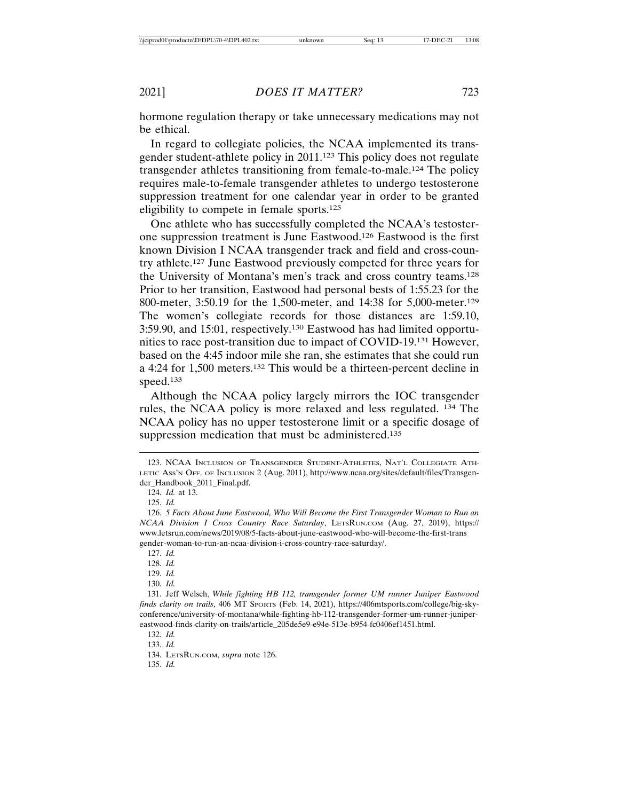hormone regulation therapy or take unnecessary medications may not be ethical.

In regard to collegiate policies, the NCAA implemented its transgender student-athlete policy in 2011.123 This policy does not regulate transgender athletes transitioning from female-to-male.124 The policy requires male-to-female transgender athletes to undergo testosterone suppression treatment for one calendar year in order to be granted eligibility to compete in female sports.125

One athlete who has successfully completed the NCAA's testosterone suppression treatment is June Eastwood.126 Eastwood is the first known Division I NCAA transgender track and field and cross-country athlete.127 June Eastwood previously competed for three years for the University of Montana's men's track and cross country teams.128 Prior to her transition, Eastwood had personal bests of 1:55.23 for the 800-meter, 3:50.19 for the 1,500-meter, and 14:38 for 5,000-meter.129 The women's collegiate records for those distances are 1:59.10, 3:59.90, and 15:01, respectively.130 Eastwood has had limited opportunities to race post-transition due to impact of COVID-19.131 However, based on the 4:45 indoor mile she ran, she estimates that she could run a 4:24 for 1,500 meters.132 This would be a thirteen-percent decline in speed.133

Although the NCAA policy largely mirrors the IOC transgender rules, the NCAA policy is more relaxed and less regulated. 134 The NCAA policy has no upper testosterone limit or a specific dosage of suppression medication that must be administered.<sup>135</sup>

- 129. *Id.*
- 130. *Id.*

131. Jeff Welsch, *While fighting HB 112, transgender former UM runner Juniper Eastwood finds clarity on trails*, 406 MT SPORTS (Feb. 14, 2021), https://406mtsports.com/college/big-skyconference/university-of-montana/while-fighting-hb-112-transgender-former-um-runner-junipereastwood-finds-clarity-on-trails/article\_205de5e9-e94e-513e-b954-fc0406ef1451.html.

<sup>123.</sup> NCAA INCLUSION OF TRANSGENDER STUDENT-ATHLETES, NAT'L COLLEGIATE ATH-LETIC ASS'N OFF. OF INCLUSION 2 (Aug. 2011), http://www.ncaa.org/sites/default/files/Transgender\_Handbook\_2011\_Final.pdf.

<sup>124.</sup> *Id.* at 13.

<sup>125.</sup> *Id.*

<sup>126.</sup> *5 Facts About June Eastwood, Who Will Become the First Transgender Woman to Run an NCAA Division I Cross Country Race Saturday*, LETSRUN.COM (Aug. 27, 2019), https:// www.letsrun.com/news/2019/08/5-facts-about-june-eastwood-who-will-become-the-first-trans gender-woman-to-run-an-ncaa-division-i-cross-country-race-saturday/.

<sup>127.</sup> *Id.*

<sup>128.</sup> *Id.*

<sup>132.</sup> *Id.*

<sup>134.</sup> LETSRUN.COM, *supra* note 126.

<sup>135.</sup> *Id.*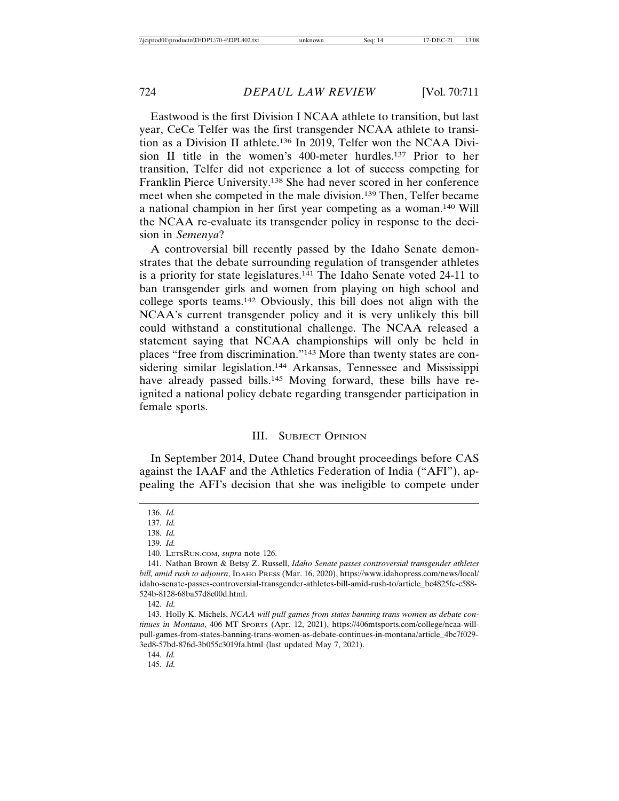Eastwood is the first Division I NCAA athlete to transition, but last year, CeCe Telfer was the first transgender NCAA athlete to transition as a Division II athlete.136 In 2019, Telfer won the NCAA Division II title in the women's 400-meter hurdles.137 Prior to her transition, Telfer did not experience a lot of success competing for Franklin Pierce University.138 She had never scored in her conference meet when she competed in the male division.139 Then, Telfer became a national champion in her first year competing as a woman.140 Will the NCAA re-evaluate its transgender policy in response to the decision in *Semenya*?

A controversial bill recently passed by the Idaho Senate demonstrates that the debate surrounding regulation of transgender athletes is a priority for state legislatures.141 The Idaho Senate voted 24-11 to ban transgender girls and women from playing on high school and college sports teams.142 Obviously, this bill does not align with the NCAA's current transgender policy and it is very unlikely this bill could withstand a constitutional challenge. The NCAA released a statement saying that NCAA championships will only be held in places "free from discrimination."143 More than twenty states are considering similar legislation.<sup>144</sup> Arkansas, Tennessee and Mississippi have already passed bills.<sup>145</sup> Moving forward, these bills have reignited a national policy debate regarding transgender participation in female sports.

#### III. SUBJECT OPINION

In September 2014, Dutee Chand brought proceedings before CAS against the IAAF and the Athletics Federation of India ("AFI"), appealing the AFI's decision that she was ineligible to compete under

<sup>136.</sup> *Id.*

<sup>137.</sup> *Id.*

<sup>138.</sup> *Id.*

<sup>139.</sup> *Id.*

<sup>140.</sup> LETSRUN.COM, *supra* note 126.

<sup>141.</sup> Nathan Brown & Betsy Z. Russell, *Idaho Senate passes controversial transgender athletes bill, amid rush to adjourn*, IDAHO PRESS (Mar. 16, 2020), https://www.idahopress.com/news/local/ idaho-senate-passes-controversial-transgender-athletes-bill-amid-rush-to/article\_bc4825fc-c588- 524b-8128-68ba57d8c00d.html.

<sup>142.</sup> *Id.*

<sup>143.</sup> Holly K. Michels, *NCAA will pull games from states banning trans women as debate continues in Montana*, 406 MT SPORTS (Apr. 12, 2021), https://406mtsports.com/college/ncaa-willpull-games-from-states-banning-trans-women-as-debate-continues-in-montana/article\_4bc7f029- 3ed8-57bd-876d-3b055c3019fa.html (last updated May 7, 2021).

<sup>144.</sup> *Id.*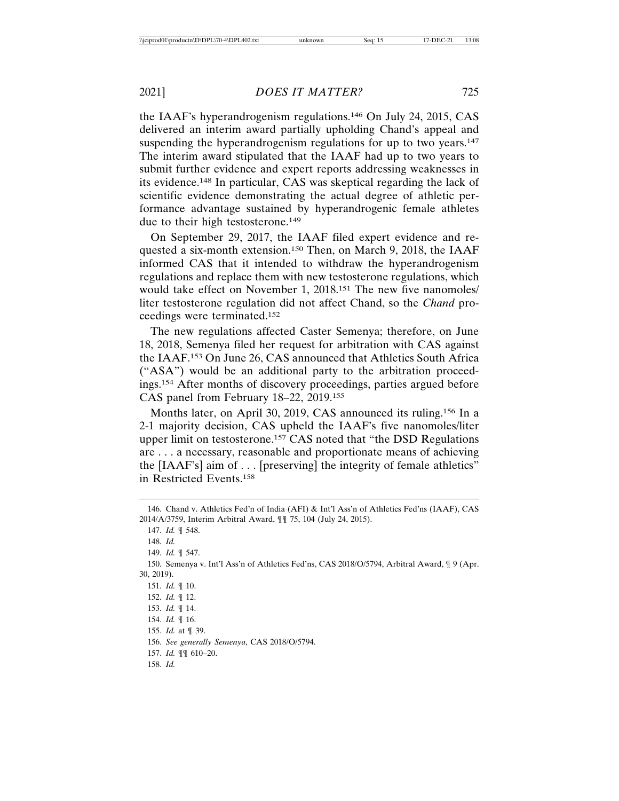the IAAF's hyperandrogenism regulations.146 On July 24, 2015, CAS delivered an interim award partially upholding Chand's appeal and suspending the hyperandrogenism regulations for up to two years.<sup>147</sup> The interim award stipulated that the IAAF had up to two years to submit further evidence and expert reports addressing weaknesses in its evidence.148 In particular, CAS was skeptical regarding the lack of scientific evidence demonstrating the actual degree of athletic performance advantage sustained by hyperandrogenic female athletes due to their high testosterone.149

On September 29, 2017, the IAAF filed expert evidence and requested a six-month extension.150 Then, on March 9, 2018, the IAAF informed CAS that it intended to withdraw the hyperandrogenism regulations and replace them with new testosterone regulations, which would take effect on November 1, 2018.151 The new five nanomoles/ liter testosterone regulation did not affect Chand, so the *Chand* proceedings were terminated.152

The new regulations affected Caster Semenya; therefore, on June 18, 2018, Semenya filed her request for arbitration with CAS against the IAAF.153 On June 26, CAS announced that Athletics South Africa ("ASA") would be an additional party to the arbitration proceedings.154 After months of discovery proceedings, parties argued before CAS panel from February 18–22, 2019.155

Months later, on April 30, 2019, CAS announced its ruling.156 In a 2-1 majority decision, CAS upheld the IAAF's five nanomoles/liter upper limit on testosterone.157 CAS noted that "the DSD Regulations are . . . a necessary, reasonable and proportionate means of achieving the [IAAF's] aim of . . . [preserving] the integrity of female athletics" in Restricted Events.158

<sup>146.</sup> Chand v. Athletics Fed'n of India (AFI) & Int'l Ass'n of Athletics Fed'ns (IAAF), CAS 2014/A/3759, Interim Arbitral Award, ¶¶ 75, 104 (July 24, 2015). 147. *Id.* ¶ 548. 148. *Id.* 149. *Id.* ¶ 547. 150. Semenya v. Int'l Ass'n of Athletics Fed'ns, CAS 2018/O/5794, Arbitral Award, ¶ 9 (Apr. 30, 2019). 151. *Id.* ¶ 10. 152. *Id.* ¶ 12. 153. *Id.* ¶ 14. 154. *Id.* ¶ 16. 155. *Id.* at ¶ 39. 156. *See generally Semenya*, CAS 2018/O/5794. 157. *Id.* ¶¶ 610–20. 158. *Id.*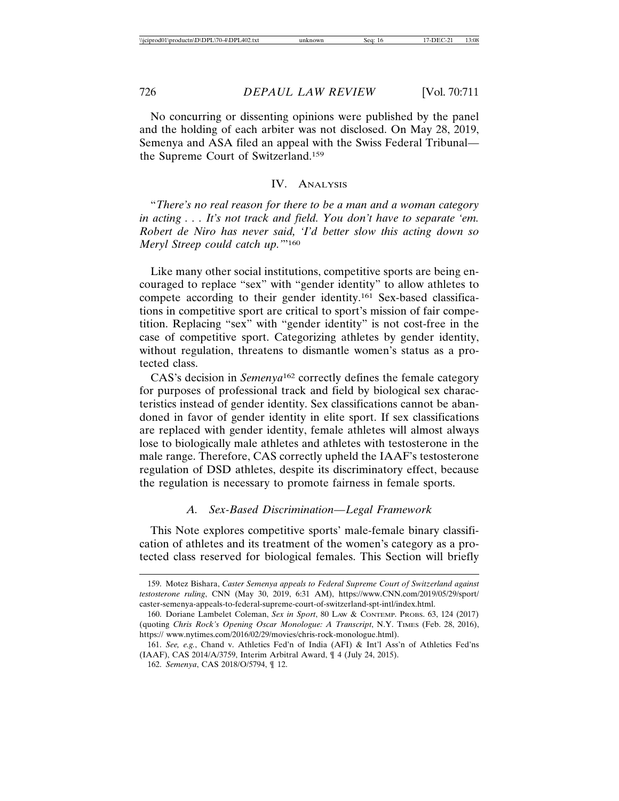No concurring or dissenting opinions were published by the panel and the holding of each arbiter was not disclosed. On May 28, 2019, Semenya and ASA filed an appeal with the Swiss Federal Tribunal the Supreme Court of Switzerland.159

#### IV. ANALYSIS

"*There's no real reason for there to be a man and a woman category in acting . . . It's not track and field. You don't have to separate 'em. Robert de Niro has never said, 'I'd better slow this acting down so Meryl Streep could catch up.'*"160

Like many other social institutions, competitive sports are being encouraged to replace "sex" with "gender identity" to allow athletes to compete according to their gender identity.161 Sex-based classifications in competitive sport are critical to sport's mission of fair competition. Replacing "sex" with "gender identity" is not cost-free in the case of competitive sport. Categorizing athletes by gender identity, without regulation, threatens to dismantle women's status as a protected class.

CAS's decision in *Semenya*162 correctly defines the female category for purposes of professional track and field by biological sex characteristics instead of gender identity. Sex classifications cannot be abandoned in favor of gender identity in elite sport. If sex classifications are replaced with gender identity, female athletes will almost always lose to biologically male athletes and athletes with testosterone in the male range. Therefore, CAS correctly upheld the IAAF's testosterone regulation of DSD athletes, despite its discriminatory effect, because the regulation is necessary to promote fairness in female sports.

#### *A. Sex-Based Discrimination—Legal Framework*

This Note explores competitive sports' male-female binary classification of athletes and its treatment of the women's category as a protected class reserved for biological females. This Section will briefly

<sup>159.</sup> Motez Bishara, *Caster Semenya appeals to Federal Supreme Court of Switzerland against testosterone ruling*, CNN (May 30, 2019, 6:31 AM), https://www.CNN.com/2019/05/29/sport/ caster-semenya-appeals-to-federal-supreme-court-of-switzerland-spt-intl/index.html.

<sup>160.</sup> Doriane Lambelet Coleman, *Sex in Sport*, 80 LAW & CONTEMP. PROBS. 63, 124 (2017) (quoting *Chris Rock's Opening Oscar Monologue: A Transcript*, N.Y. TIMES (Feb. 28, 2016), https:// www.nytimes.com/2016/02/29/movies/chris-rock-monologue.html).

<sup>161.</sup> *See, e.g.*, Chand v. Athletics Fed'n of India (AFI) & Int'l Ass'n of Athletics Fed'ns (IAAF), CAS 2014/A/3759, Interim Arbitral Award, ¶ 4 (July 24, 2015).

<sup>162.</sup> *Semenya*, CAS 2018/O/5794, ¶ 12.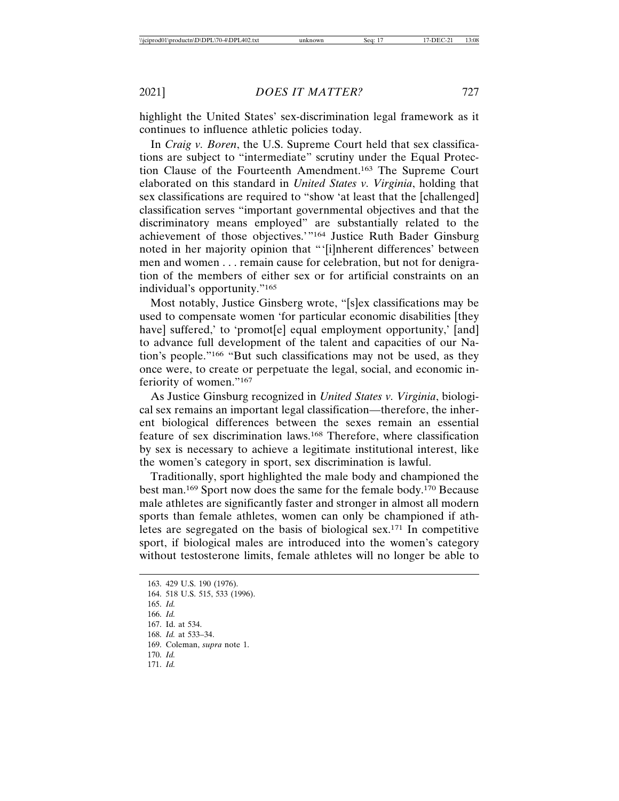highlight the United States' sex-discrimination legal framework as it continues to influence athletic policies today.

In *Craig v. Boren*, the U.S. Supreme Court held that sex classifications are subject to "intermediate" scrutiny under the Equal Protection Clause of the Fourteenth Amendment.163 The Supreme Court elaborated on this standard in *United States v. Virginia*, holding that sex classifications are required to "show 'at least that the [challenged] classification serves "important governmental objectives and that the discriminatory means employed" are substantially related to the achievement of those objectives.'"164 Justice Ruth Bader Ginsburg noted in her majority opinion that "'[i]nherent differences' between men and women . . . remain cause for celebration, but not for denigration of the members of either sex or for artificial constraints on an individual's opportunity."165

Most notably, Justice Ginsberg wrote, "[s]ex classifications may be used to compensate women 'for particular economic disabilities [they have] suffered,' to 'promot[e] equal employment opportunity,' [and] to advance full development of the talent and capacities of our Nation's people."166 "But such classifications may not be used, as they once were, to create or perpetuate the legal, social, and economic inferiority of women."167

As Justice Ginsburg recognized in *United States v. Virginia*, biological sex remains an important legal classification—therefore, the inherent biological differences between the sexes remain an essential feature of sex discrimination laws.168 Therefore, where classification by sex is necessary to achieve a legitimate institutional interest, like the women's category in sport, sex discrimination is lawful.

Traditionally, sport highlighted the male body and championed the best man.169 Sport now does the same for the female body.170 Because male athletes are significantly faster and stronger in almost all modern sports than female athletes, women can only be championed if athletes are segregated on the basis of biological sex.171 In competitive sport, if biological males are introduced into the women's category without testosterone limits, female athletes will no longer be able to

<sup>163. 429</sup> U.S. 190 (1976). 164. 518 U.S. 515, 533 (1996). 165. *Id.* 166. *Id.* 167. Id. at 534. 168. *Id.* at 533–34. 169. Coleman, *supra* note 1. 170. *Id.* 171. *Id.*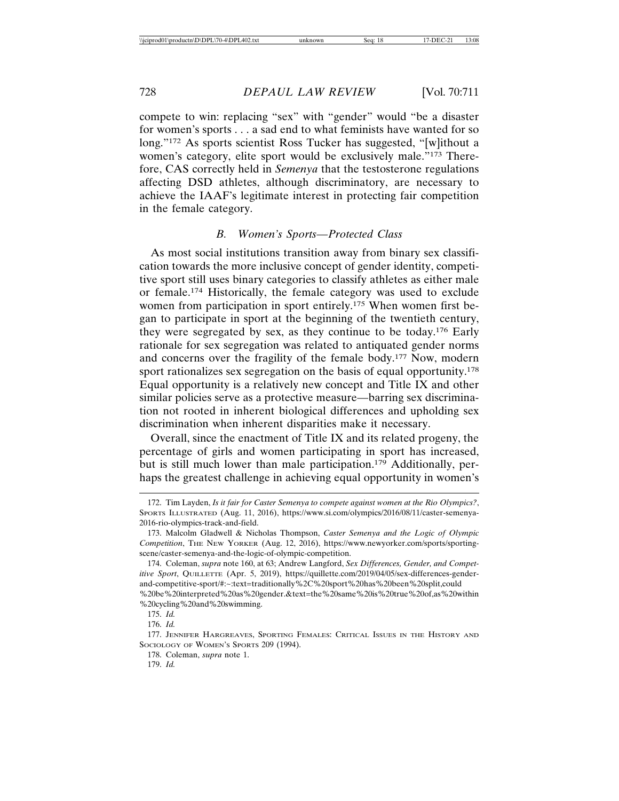compete to win: replacing "sex" with "gender" would "be a disaster for women's sports . . . a sad end to what feminists have wanted for so long."172 As sports scientist Ross Tucker has suggested, "[w]ithout a women's category, elite sport would be exclusively male."173 Therefore, CAS correctly held in *Semenya* that the testosterone regulations affecting DSD athletes, although discriminatory, are necessary to achieve the IAAF's legitimate interest in protecting fair competition in the female category.

## *B. Women's Sports—Protected Class*

As most social institutions transition away from binary sex classification towards the more inclusive concept of gender identity, competitive sport still uses binary categories to classify athletes as either male or female.174 Historically, the female category was used to exclude women from participation in sport entirely.175 When women first began to participate in sport at the beginning of the twentieth century, they were segregated by sex, as they continue to be today.176 Early rationale for sex segregation was related to antiquated gender norms and concerns over the fragility of the female body.177 Now, modern sport rationalizes sex segregation on the basis of equal opportunity.<sup>178</sup> Equal opportunity is a relatively new concept and Title IX and other similar policies serve as a protective measure—barring sex discrimination not rooted in inherent biological differences and upholding sex discrimination when inherent disparities make it necessary.

Overall, since the enactment of Title IX and its related progeny, the percentage of girls and women participating in sport has increased, but is still much lower than male participation.179 Additionally, perhaps the greatest challenge in achieving equal opportunity in women's

<sup>172.</sup> Tim Layden, *Is it fair for Caster Semenya to compete against women at the Rio Olympics?*, SPORTS ILLUSTRATED (Aug. 11, 2016), https://www.si.com/olympics/2016/08/11/caster-semenya-2016-rio-olympics-track-and-field.

<sup>173.</sup> Malcolm Gladwell & Nicholas Thompson, *Caster Semenya and the Logic of Olympic Competition*, THE NEW YORKER (Aug. 12, 2016), https://www.newyorker.com/sports/sportingscene/caster-semenya-and-the-logic-of-olympic-competition.

<sup>174.</sup> Coleman, *supra* note 160, at 63; Andrew Langford, *Sex Differences, Gender, and Competitive Sport*, QUILLETTE (Apr. 5, 2019), https://quillette.com/2019/04/05/sex-differences-genderand-competitive-sport/#:~:text=traditionally%2C%20sport%20has%20been%20split,could %20be%20interpreted%20as%20gender.&text=the%20same%20is%20true%20of,as%20within %20cycling%20and%20swimming.

<sup>175.</sup> *Id.*

<sup>176.</sup> *Id.*

<sup>177.</sup> JENNIFER HARGREAVES, SPORTING FEMALES: CRITICAL ISSUES IN THE HISTORY AND SOCIOLOGY OF WOMEN'S SPORTS 209 (1994).

<sup>178.</sup> Coleman, *supra* note 1.

<sup>179.</sup> *Id.*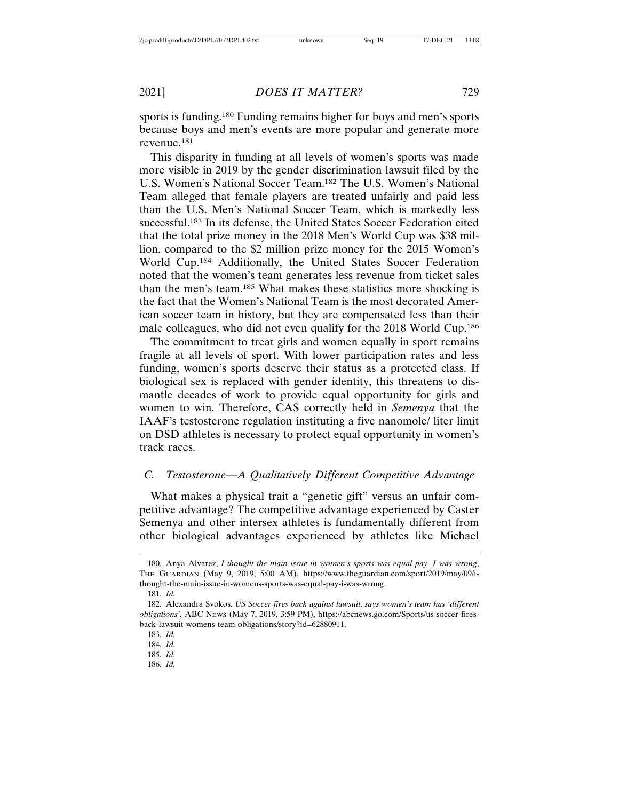sports is funding.180 Funding remains higher for boys and men's sports because boys and men's events are more popular and generate more revenue.181

This disparity in funding at all levels of women's sports was made more visible in 2019 by the gender discrimination lawsuit filed by the U.S. Women's National Soccer Team.182 The U.S. Women's National Team alleged that female players are treated unfairly and paid less than the U.S. Men's National Soccer Team, which is markedly less successful.183 In its defense, the United States Soccer Federation cited that the total prize money in the 2018 Men's World Cup was \$38 million, compared to the \$2 million prize money for the 2015 Women's World Cup.184 Additionally, the United States Soccer Federation noted that the women's team generates less revenue from ticket sales than the men's team.185 What makes these statistics more shocking is the fact that the Women's National Team is the most decorated American soccer team in history, but they are compensated less than their male colleagues, who did not even qualify for the 2018 World Cup.186

The commitment to treat girls and women equally in sport remains fragile at all levels of sport. With lower participation rates and less funding, women's sports deserve their status as a protected class. If biological sex is replaced with gender identity, this threatens to dismantle decades of work to provide equal opportunity for girls and women to win. Therefore, CAS correctly held in *Semenya* that the IAAF's testosterone regulation instituting a five nanomole/ liter limit on DSD athletes is necessary to protect equal opportunity in women's track races.

## *C. Testosterone—A Qualitatively Different Competitive Advantage*

What makes a physical trait a "genetic gift" versus an unfair competitive advantage? The competitive advantage experienced by Caster Semenya and other intersex athletes is fundamentally different from other biological advantages experienced by athletes like Michael

<sup>180.</sup> Anya Alvarez, *I thought the main issue in women's sports was equal pay. I was wrong*, THE GUARDIAN (May 9, 2019, 5:00 AM), https://www.theguardian.com/sport/2019/may/09/ithought-the-main-issue-in-womens-sports-was-equal-pay-i-was-wrong.

<sup>181.</sup> *Id.*

<sup>182.</sup> Alexandra Svokos, *US Soccer fires back against lawsuit, says women's team has 'different obligations'*, ABC NEWS (May 7, 2019, 3:59 PM), https://abcnews.go.com/Sports/us-soccer-firesback-lawsuit-womens-team-obligations/story?id=62880911.

<sup>183.</sup> *Id.*

<sup>184.</sup> *Id.*

<sup>185.</sup> *Id.*

<sup>186.</sup> *Id.*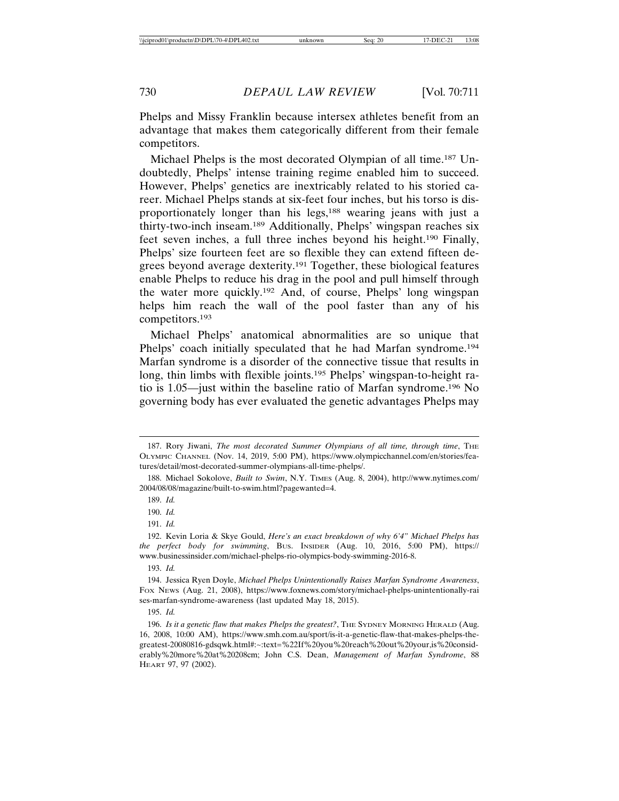Phelps and Missy Franklin because intersex athletes benefit from an advantage that makes them categorically different from their female competitors.

Michael Phelps is the most decorated Olympian of all time.187 Undoubtedly, Phelps' intense training regime enabled him to succeed. However, Phelps' genetics are inextricably related to his storied career. Michael Phelps stands at six-feet four inches, but his torso is disproportionately longer than his legs,<sup>188</sup> wearing jeans with just a thirty-two-inch inseam.189 Additionally, Phelps' wingspan reaches six feet seven inches, a full three inches beyond his height.190 Finally, Phelps' size fourteen feet are so flexible they can extend fifteen degrees beyond average dexterity.191 Together, these biological features enable Phelps to reduce his drag in the pool and pull himself through the water more quickly.192 And, of course, Phelps' long wingspan helps him reach the wall of the pool faster than any of his competitors.193

Michael Phelps' anatomical abnormalities are so unique that Phelps' coach initially speculated that he had Marfan syndrome.<sup>194</sup> Marfan syndrome is a disorder of the connective tissue that results in long, thin limbs with flexible joints.<sup>195</sup> Phelps' wingspan-to-height ratio is 1.05—just within the baseline ratio of Marfan syndrome.196 No governing body has ever evaluated the genetic advantages Phelps may

191. *Id.*

<sup>187.</sup> Rory Jiwani, *The most decorated Summer Olympians of all time, through time*, THE OLYMPIC CHANNEL (Nov. 14, 2019, 5:00 PM), https://www.olympicchannel.com/en/stories/features/detail/most-decorated-summer-olympians-all-time-phelps/.

<sup>188.</sup> Michael Sokolove, *Built to Swim*, N.Y. TIMES (Aug. 8, 2004), http://www.nytimes.com/ 2004/08/08/magazine/built-to-swim.html?pagewanted=4.

<sup>189.</sup> *Id.*

<sup>190.</sup> *Id.*

<sup>192.</sup> Kevin Loria & Skye Gould, *Here's an exact breakdown of why 6'4" Michael Phelps has the perfect body for swimming*, BUS. INSIDER (Aug. 10, 2016, 5:00 PM), https:// www.businessinsider.com/michael-phelps-rio-olympics-body-swimming-2016-8.

<sup>194.</sup> Jessica Ryen Doyle, *Michael Phelps Unintentionally Raises Marfan Syndrome Awareness*, FOX NEWS (Aug. 21, 2008), https://www.foxnews.com/story/michael-phelps-unintentionally-rai ses-marfan-syndrome-awareness (last updated May 18, 2015).

<sup>195.</sup> *Id.*

<sup>196.</sup> *Is it a genetic flaw that makes Phelps the greatest?*, THE SYDNEY MORNING HERALD (Aug. 16, 2008, 10:00 AM), https://www.smh.com.au/sport/is-it-a-genetic-flaw-that-makes-phelps-thegreatest-20080816-gdsqwk.html#:~:text=%22If%20you%20reach%20out%20your,is%20considerably%20more%20at%20208cm; John C.S. Dean, *Management of Marfan Syndrome*, 88 HEART 97, 97 (2002).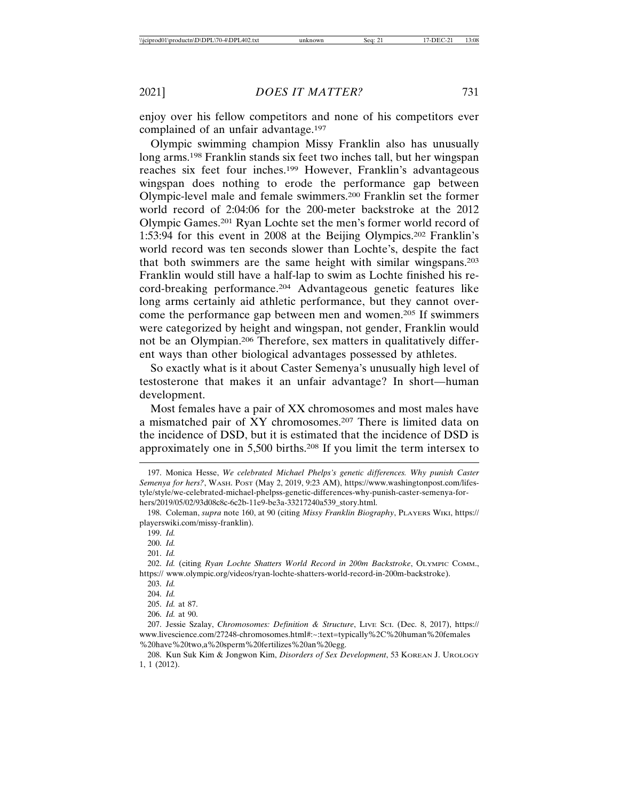enjoy over his fellow competitors and none of his competitors ever complained of an unfair advantage.<sup>197</sup>

Olympic swimming champion Missy Franklin also has unusually long arms.198 Franklin stands six feet two inches tall, but her wingspan reaches six feet four inches.199 However, Franklin's advantageous wingspan does nothing to erode the performance gap between Olympic-level male and female swimmers.200 Franklin set the former world record of 2:04:06 for the 200-meter backstroke at the 2012 Olympic Games.201 Ryan Lochte set the men's former world record of 1:53:94 for this event in 2008 at the Beijing Olympics.202 Franklin's world record was ten seconds slower than Lochte's, despite the fact that both swimmers are the same height with similar wingspans.203 Franklin would still have a half-lap to swim as Lochte finished his record-breaking performance.204 Advantageous genetic features like long arms certainly aid athletic performance, but they cannot overcome the performance gap between men and women.205 If swimmers were categorized by height and wingspan, not gender, Franklin would not be an Olympian.206 Therefore, sex matters in qualitatively different ways than other biological advantages possessed by athletes.

So exactly what is it about Caster Semenya's unusually high level of testosterone that makes it an unfair advantage? In short—human development.

Most females have a pair of XX chromosomes and most males have a mismatched pair of XY chromosomes.207 There is limited data on the incidence of DSD, but it is estimated that the incidence of DSD is approximately one in 5,500 births.208 If you limit the term intersex to

202. *Id.* (citing *Ryan Lochte Shatters World Record in 200m Backstroke*, OLYMPIC COMM., https:// www.olympic.org/videos/ryan-lochte-shatters-world-record-in-200m-backstroke).

206. *Id.* at 90.

<sup>197.</sup> Monica Hesse, *We celebrated Michael Phelps's genetic differences. Why punish Caster Semenya for hers?*, WASH. POST (May 2, 2019, 9:23 AM), https://www.washingtonpost.com/lifestyle/style/we-celebrated-michael-phelpss-genetic-differences-why-punish-caster-semenya-forhers/2019/05/02/93d08c8c-6c2b-11e9-be3a-33217240a539\_story.html.

<sup>198.</sup> Coleman, *supra* note 160, at 90 (citing *Missy Franklin Biography*, PLAYERS WIKI, https:// playerswiki.com/missy-franklin).

<sup>199.</sup> *Id.*

<sup>200.</sup> *Id.*

<sup>201.</sup> *Id.*

<sup>203.</sup> *Id.*

<sup>204.</sup> *Id.*

<sup>205.</sup> *Id.* at 87.

<sup>207.</sup> Jessie Szalay, *Chromosomes: Definition & Structure*, LIVE SCI. (Dec. 8, 2017), https:// www.livescience.com/27248-chromosomes.html#:~:text=typically%2C%20human%20females %20have%20two,a%20sperm%20fertilizes%20an%20egg.

<sup>208.</sup> Kun Suk Kim & Jongwon Kim, *Disorders of Sex Development*, 53 KOREAN J. UROLOGY 1, 1 (2012).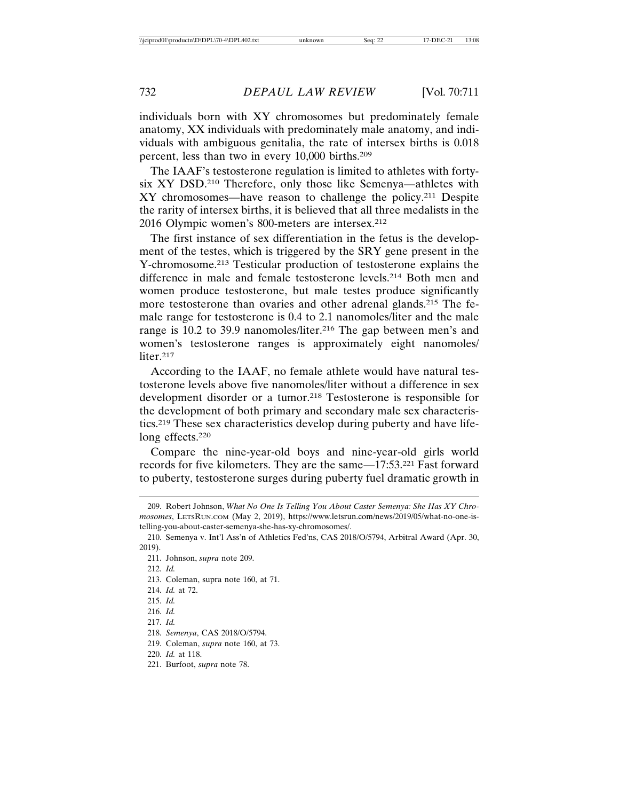individuals born with XY chromosomes but predominately female anatomy, XX individuals with predominately male anatomy, and individuals with ambiguous genitalia, the rate of intersex births is 0.018 percent, less than two in every 10,000 births.209

The IAAF's testosterone regulation is limited to athletes with fortysix XY DSD.210 Therefore, only those like Semenya—athletes with XY chromosomes—have reason to challenge the policy.211 Despite the rarity of intersex births, it is believed that all three medalists in the 2016 Olympic women's 800-meters are intersex.212

The first instance of sex differentiation in the fetus is the development of the testes, which is triggered by the SRY gene present in the Y-chromosome.213 Testicular production of testosterone explains the difference in male and female testosterone levels.214 Both men and women produce testosterone, but male testes produce significantly more testosterone than ovaries and other adrenal glands.215 The female range for testosterone is 0.4 to 2.1 nanomoles/liter and the male range is 10.2 to 39.9 nanomoles/liter.<sup>216</sup> The gap between men's and women's testosterone ranges is approximately eight nanomoles/ liter.<sup>217</sup>

According to the IAAF, no female athlete would have natural testosterone levels above five nanomoles/liter without a difference in sex development disorder or a tumor.218 Testosterone is responsible for the development of both primary and secondary male sex characteristics.219 These sex characteristics develop during puberty and have lifelong effects.220

Compare the nine-year-old boys and nine-year-old girls world records for five kilometers. They are the same—17:53.221 Fast forward to puberty, testosterone surges during puberty fuel dramatic growth in

219. Coleman, *supra* note 160, at 73.

221. Burfoot, *supra* note 78.

<sup>209.</sup> Robert Johnson, *What No One Is Telling You About Caster Semenya: She Has XY Chromosomes*, LETSRUN.COM (May 2, 2019), https://www.letsrun.com/news/2019/05/what-no-one-istelling-you-about-caster-semenya-she-has-xy-chromosomes/.

<sup>210.</sup> Semenya v. Int'l Ass'n of Athletics Fed'ns, CAS 2018/O/5794, Arbitral Award (Apr. 30, 2019).

<sup>211.</sup> Johnson, *supra* note 209.

<sup>212.</sup> *Id.*

<sup>213.</sup> Coleman, supra note 160, at 71.

<sup>214.</sup> *Id.* at 72.

<sup>215.</sup> *Id.*

<sup>216.</sup> *Id.*

<sup>217.</sup> *Id.*

<sup>218.</sup> *Semenya*, CAS 2018/O/5794.

<sup>220.</sup> *Id.* at 118.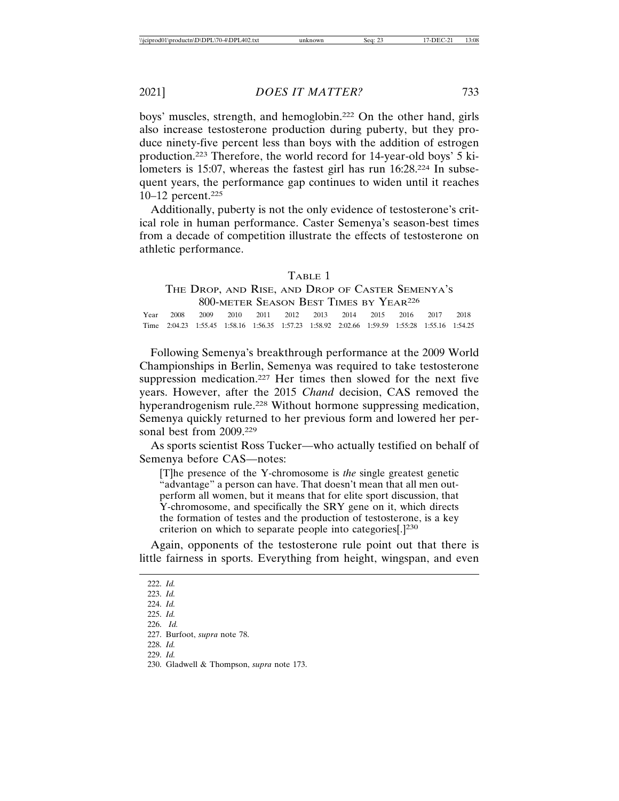boys' muscles, strength, and hemoglobin.222 On the other hand, girls also increase testosterone production during puberty, but they produce ninety-five percent less than boys with the addition of estrogen production.223 Therefore, the world record for 14-year-old boys' 5 kilometers is 15:07, whereas the fastest girl has run 16:28.224 In subsequent years, the performance gap continues to widen until it reaches 10–12 percent.225

Additionally, puberty is not the only evidence of testosterone's critical role in human performance. Caster Semenya's season-best times from a decade of competition illustrate the effects of testosterone on athletic performance.

#### TABLE 1

# THE DROP, AND RISE, AND DROP OF CASTER SEMENYA'S 800-METER SEASON BEST TIMES BY YEAR226

Year 2008 2009 2010 2011 2012 2013 2014 2015 2016 2017 2018 Time 2:04.23 1:55.45 1:58.16 1:56.35 1:57.23 1:58.92 2:02.66 1:59.59 1:55:28 1:55.16 1:54.25

Following Semenya's breakthrough performance at the 2009 World Championships in Berlin, Semenya was required to take testosterone suppression medication.227 Her times then slowed for the next five years. However, after the 2015 *Chand* decision, CAS removed the hyperandrogenism rule.<sup>228</sup> Without hormone suppressing medication, Semenya quickly returned to her previous form and lowered her personal best from 2009.229

As sports scientist Ross Tucker—who actually testified on behalf of Semenya before CAS—notes:

[T]he presence of the Y-chromosome is *the* single greatest genetic "advantage" a person can have. That doesn't mean that all men outperform all women, but it means that for elite sport discussion, that Y-chromosome, and specifically the SRY gene on it, which directs the formation of testes and the production of testosterone, is a key criterion on which to separate people into categories[.]230

Again, opponents of the testosterone rule point out that there is little fairness in sports. Everything from height, wingspan, and even

<sup>223.</sup> *Id.*

<sup>224.</sup> *Id.*

<sup>225.</sup> *Id.*

<sup>226.</sup> *Id.*

<sup>227.</sup> Burfoot, *supra* note 78.

<sup>228.</sup> *Id.*

<sup>229.</sup> *Id.*

<sup>230.</sup> Gladwell & Thompson, *supra* note 173.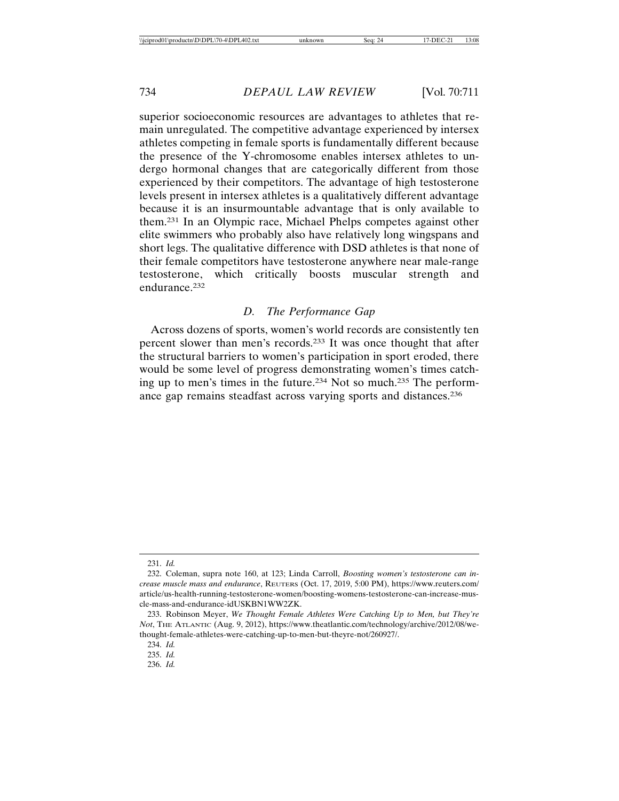superior socioeconomic resources are advantages to athletes that remain unregulated. The competitive advantage experienced by intersex athletes competing in female sports is fundamentally different because the presence of the Y-chromosome enables intersex athletes to undergo hormonal changes that are categorically different from those experienced by their competitors. The advantage of high testosterone levels present in intersex athletes is a qualitatively different advantage because it is an insurmountable advantage that is only available to them.231 In an Olympic race, Michael Phelps competes against other elite swimmers who probably also have relatively long wingspans and short legs. The qualitative difference with DSD athletes is that none of their female competitors have testosterone anywhere near male-range testosterone, which critically boosts muscular strength and endurance.<sup>232</sup>

## *D. The Performance Gap*

Across dozens of sports, women's world records are consistently ten percent slower than men's records.233 It was once thought that after the structural barriers to women's participation in sport eroded, there would be some level of progress demonstrating women's times catching up to men's times in the future.234 Not so much.235 The performance gap remains steadfast across varying sports and distances.236

<sup>231.</sup> *Id.*

<sup>232.</sup> Coleman, supra note 160, at 123; Linda Carroll, *Boosting women's testosterone can increase muscle mass and endurance*, REUTERS (Oct. 17, 2019, 5:00 PM), https://www.reuters.com/ article/us-health-running-testosterone-women/boosting-womens-testosterone-can-increase-muscle-mass-and-endurance-idUSKBN1WW2ZK.

<sup>233.</sup> Robinson Meyer, *We Thought Female Athletes Were Catching Up to Men, but They're Not*, THE ATLANTIC (Aug. 9, 2012), https://www.theatlantic.com/technology/archive/2012/08/wethought-female-athletes-were-catching-up-to-men-but-theyre-not/260927/.

<sup>234.</sup> *Id.*

<sup>235.</sup> *Id.*

<sup>236.</sup> *Id.*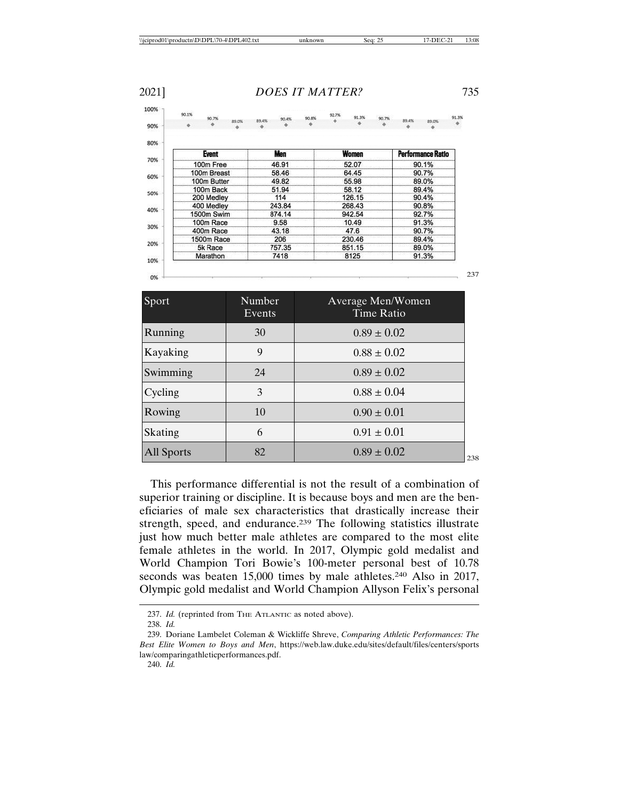|     | 90.1%                     | 90.7%     | <b>B9.0%</b> | 89.4%  | 90.43 | 90.8% |        | 91.3% | 90.7%                    | 89.4% | 89.0% | 91.3% |
|-----|---------------------------|-----------|--------------|--------|-------|-------|--------|-------|--------------------------|-------|-------|-------|
| 90% |                           |           |              |        |       |       |        |       |                          |       |       |       |
| 80% |                           |           |              |        |       |       |        |       |                          |       |       |       |
|     | <b>Event</b><br>100m Free |           |              | Men    |       |       | Women  |       | <b>Performance Ratio</b> |       |       |       |
| 70% |                           |           |              | 46.91  |       |       | 52.07  |       |                          | 90.1% |       |       |
| 60% | 100m Breast               |           |              | 58.46  |       |       | 64.45  |       |                          | 90.7% |       |       |
|     | 100m Butter               |           |              | 49.82  |       |       | 55.98  |       |                          | 89.0% |       |       |
| 50% | 100m Back                 |           |              | 51.94  |       |       | 58.12  |       |                          | 89.4% |       |       |
|     | 200 Medley                |           |              | 114    |       |       | 126.15 |       |                          | 90.4% |       |       |
| 40% | 400 Medley                |           |              | 243.84 |       |       | 268.43 |       |                          | 90.8% |       |       |
|     | 1500m Swim                |           |              | 874.14 |       |       | 942.54 |       |                          | 92.7% |       |       |
| 30% |                           | 100m Race |              |        | 9.58  |       |        | 10.49 |                          |       | 91.3% |       |
|     | 400m Race                 |           |              | 43.18  |       |       | 47.6   |       |                          | 90.7% |       |       |
| 20% | 1500m Race                |           |              | 206    |       |       | 230.46 |       |                          | 89.4% |       |       |
|     | 5k Race                   |           |              | 757.35 |       |       | 851.15 |       |                          | 89.0% |       |       |
| 10% | Marathon                  |           |              | 7418   |       |       | 8125   |       |                          | 91.3% |       |       |

237

| Sport             | Number<br>Events | Average Men/Women<br><b>Time Ratio</b> |
|-------------------|------------------|----------------------------------------|
| Running           | 30               | $0.89 \pm 0.02$                        |
| Kayaking          | 9                | $0.88 \pm 0.02$                        |
| Swimming          | 24               | $0.89 \pm 0.02$                        |
| Cycling           | 3                | $0.88 \pm 0.04$                        |
| Rowing            | 10               | $0.90 \pm 0.01$                        |
| Skating           | 6                | $0.91 \pm 0.01$                        |
| <b>All Sports</b> | 82               | $0.89 \pm 0.02$<br>238                 |

This performance differential is not the result of a combination of superior training or discipline. It is because boys and men are the beneficiaries of male sex characteristics that drastically increase their strength, speed, and endurance.239 The following statistics illustrate just how much better male athletes are compared to the most elite female athletes in the world. In 2017, Olympic gold medalist and World Champion Tori Bowie's 100-meter personal best of 10.78 seconds was beaten 15,000 times by male athletes.<sup>240</sup> Also in 2017, Olympic gold medalist and World Champion Allyson Felix's personal

<sup>237.</sup> *Id.* (reprinted from THE ATLANTIC as noted above).

<sup>238.</sup> *Id.*

<sup>239.</sup> Doriane Lambelet Coleman & Wickliffe Shreve, *Comparing Athletic Performances: The Best Elite Women to Boys and Men*, https://web.law.duke.edu/sites/default/files/centers/sports law/comparingathleticperformances.pdf.

<sup>240.</sup> *Id.*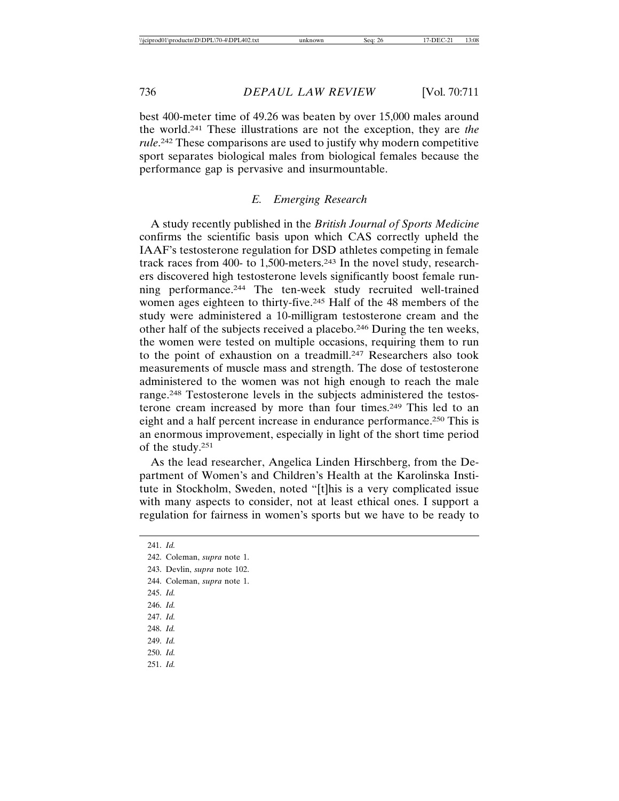best 400-meter time of 49.26 was beaten by over 15,000 males around the world.241 These illustrations are not the exception, they are *the rule*. 242 These comparisons are used to justify why modern competitive sport separates biological males from biological females because the performance gap is pervasive and insurmountable.

### *E. Emerging Research*

A study recently published in the *British Journal of Sports Medicine* confirms the scientific basis upon which CAS correctly upheld the IAAF's testosterone regulation for DSD athletes competing in female track races from 400- to 1,500-meters.243 In the novel study, researchers discovered high testosterone levels significantly boost female running performance.244 The ten-week study recruited well-trained women ages eighteen to thirty-five.245 Half of the 48 members of the study were administered a 10-milligram testosterone cream and the other half of the subjects received a placebo.246 During the ten weeks, the women were tested on multiple occasions, requiring them to run to the point of exhaustion on a treadmill.247 Researchers also took measurements of muscle mass and strength. The dose of testosterone administered to the women was not high enough to reach the male range.248 Testosterone levels in the subjects administered the testosterone cream increased by more than four times.249 This led to an eight and a half percent increase in endurance performance.250 This is an enormous improvement, especially in light of the short time period of the study.251

As the lead researcher, Angelica Linden Hirschberg, from the Department of Women's and Children's Health at the Karolinska Institute in Stockholm, Sweden, noted "[t]his is a very complicated issue with many aspects to consider, not at least ethical ones. I support a regulation for fairness in women's sports but we have to be ready to

241. *Id.*

<sup>242.</sup> Coleman, *supra* note 1.

<sup>243.</sup> Devlin, *supra* note 102.

<sup>244.</sup> Coleman, *supra* note 1.

<sup>246.</sup> *Id.*

<sup>247.</sup> *Id.*

<sup>248.</sup> *Id.*

<sup>249.</sup> *Id.*

<sup>250.</sup> *Id.*

<sup>251.</sup> *Id.*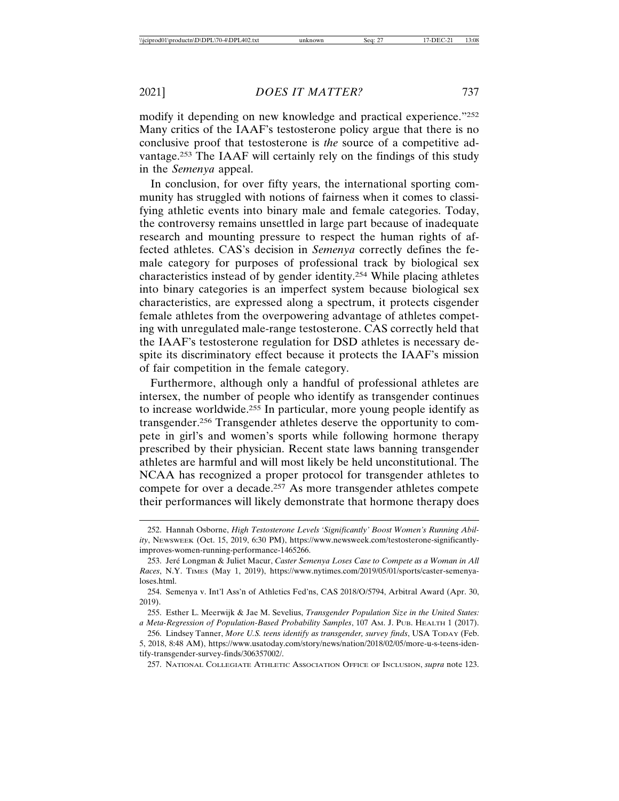modify it depending on new knowledge and practical experience."252 Many critics of the IAAF's testosterone policy argue that there is no conclusive proof that testosterone is *the* source of a competitive advantage.253 The IAAF will certainly rely on the findings of this study in the *Semenya* appeal.

In conclusion, for over fifty years, the international sporting community has struggled with notions of fairness when it comes to classifying athletic events into binary male and female categories. Today, the controversy remains unsettled in large part because of inadequate research and mounting pressure to respect the human rights of affected athletes. CAS's decision in *Semenya* correctly defines the female category for purposes of professional track by biological sex characteristics instead of by gender identity.254 While placing athletes into binary categories is an imperfect system because biological sex characteristics, are expressed along a spectrum, it protects cisgender female athletes from the overpowering advantage of athletes competing with unregulated male-range testosterone. CAS correctly held that the IAAF's testosterone regulation for DSD athletes is necessary despite its discriminatory effect because it protects the IAAF's mission of fair competition in the female category.

Furthermore, although only a handful of professional athletes are intersex, the number of people who identify as transgender continues to increase worldwide.255 In particular, more young people identify as transgender.256 Transgender athletes deserve the opportunity to compete in girl's and women's sports while following hormone therapy prescribed by their physician. Recent state laws banning transgender athletes are harmful and will most likely be held unconstitutional. The NCAA has recognized a proper protocol for transgender athletes to compete for over a decade.257 As more transgender athletes compete their performances will likely demonstrate that hormone therapy does

257. NATIONAL COLLEGIATE ATHLETIC ASSOCIATION OFFICE OF INCLUSION, *supra* note 123.

<sup>252.</sup> Hannah Osborne, *High Testosterone Levels 'Significantly' Boost Women's Running Ability*, NEWSWEEK (Oct. 15, 2019, 6:30 PM), https://www.newsweek.com/testosterone-significantlyimproves-women-running-performance-1465266.

<sup>253.</sup> Jeré Longman & Juliet Macur, *Caster Semenya Loses Case to Compete as a Woman in All Races*, N.Y. TIMES (May 1, 2019), https://www.nytimes.com/2019/05/01/sports/caster-semenyaloses.html.

<sup>254.</sup> Semenya v. Int'l Ass'n of Athletics Fed'ns, CAS 2018/O/5794, Arbitral Award (Apr. 30, 2019).

<sup>255.</sup> Esther L. Meerwijk & Jae M. Sevelius, *Transgender Population Size in the United States: a Meta-Regression of Population-Based Probability Samples*, 107 AM. J. PUB. HEALTH 1 (2017).

<sup>256.</sup> Lindsey Tanner, *More U.S. teens identify as transgender, survey finds*, USA TODAY (Feb. 5, 2018, 8:48 AM), https://www.usatoday.com/story/news/nation/2018/02/05/more-u-s-teens-identify-transgender-survey-finds/306357002/.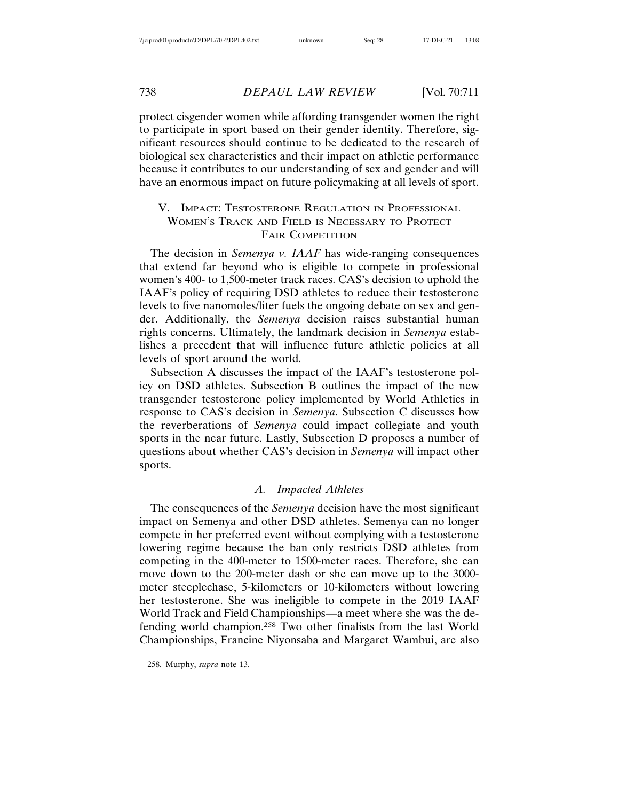protect cisgender women while affording transgender women the right to participate in sport based on their gender identity. Therefore, significant resources should continue to be dedicated to the research of biological sex characteristics and their impact on athletic performance because it contributes to our understanding of sex and gender and will have an enormous impact on future policymaking at all levels of sport.

## V. IMPACT: TESTOSTERONE REGULATION IN PROFESSIONAL WOMEN'S TRACK AND FIELD IS NECESSARY TO PROTECT FAIR COMPETITION

The decision in *Semenya v. IAAF* has wide-ranging consequences that extend far beyond who is eligible to compete in professional women's 400- to 1,500-meter track races. CAS's decision to uphold the IAAF's policy of requiring DSD athletes to reduce their testosterone levels to five nanomoles/liter fuels the ongoing debate on sex and gender. Additionally, the *Semenya* decision raises substantial human rights concerns. Ultimately, the landmark decision in *Semenya* establishes a precedent that will influence future athletic policies at all levels of sport around the world.

Subsection A discusses the impact of the IAAF's testosterone policy on DSD athletes. Subsection B outlines the impact of the new transgender testosterone policy implemented by World Athletics in response to CAS's decision in *Semenya*. Subsection C discusses how the reverberations of *Semenya* could impact collegiate and youth sports in the near future. Lastly, Subsection D proposes a number of questions about whether CAS's decision in *Semenya* will impact other sports.

#### *A. Impacted Athletes*

The consequences of the *Semenya* decision have the most significant impact on Semenya and other DSD athletes. Semenya can no longer compete in her preferred event without complying with a testosterone lowering regime because the ban only restricts DSD athletes from competing in the 400-meter to 1500-meter races. Therefore, she can move down to the 200-meter dash or she can move up to the 3000 meter steeplechase, 5-kilometers or 10-kilometers without lowering her testosterone. She was ineligible to compete in the 2019 IAAF World Track and Field Championships—a meet where she was the defending world champion.258 Two other finalists from the last World Championships, Francine Niyonsaba and Margaret Wambui, are also

<sup>258.</sup> Murphy, *supra* note 13.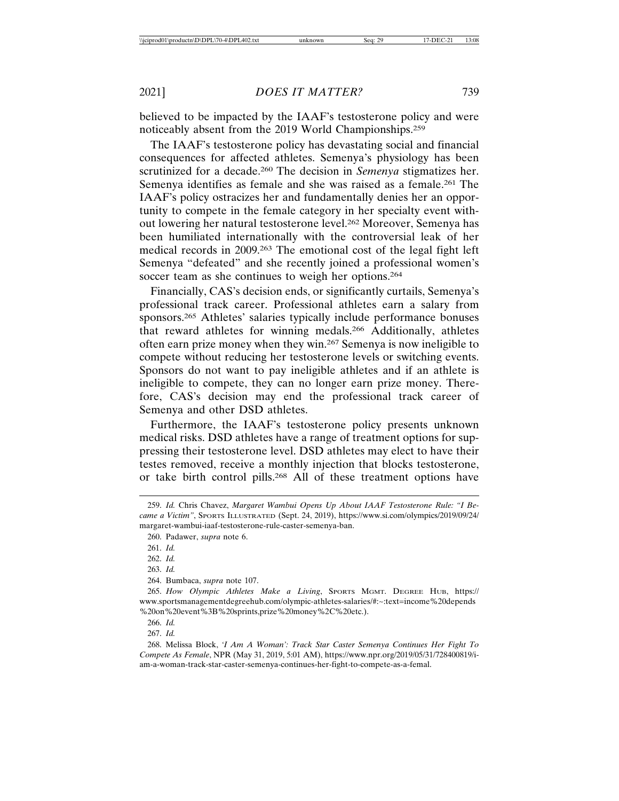believed to be impacted by the IAAF's testosterone policy and were noticeably absent from the 2019 World Championships.259

The IAAF's testosterone policy has devastating social and financial consequences for affected athletes. Semenya's physiology has been scrutinized for a decade.260 The decision in *Semenya* stigmatizes her. Semenya identifies as female and she was raised as a female.<sup>261</sup> The IAAF's policy ostracizes her and fundamentally denies her an opportunity to compete in the female category in her specialty event without lowering her natural testosterone level.262 Moreover, Semenya has been humiliated internationally with the controversial leak of her medical records in 2009.263 The emotional cost of the legal fight left Semenya "defeated" and she recently joined a professional women's soccer team as she continues to weigh her options.<sup>264</sup>

Financially, CAS's decision ends, or significantly curtails, Semenya's professional track career. Professional athletes earn a salary from sponsors.<sup>265</sup> Athletes' salaries typically include performance bonuses that reward athletes for winning medals.266 Additionally, athletes often earn prize money when they win.267 Semenya is now ineligible to compete without reducing her testosterone levels or switching events. Sponsors do not want to pay ineligible athletes and if an athlete is ineligible to compete, they can no longer earn prize money. Therefore, CAS's decision may end the professional track career of Semenya and other DSD athletes.

Furthermore, the IAAF's testosterone policy presents unknown medical risks. DSD athletes have a range of treatment options for suppressing their testosterone level. DSD athletes may elect to have their testes removed, receive a monthly injection that blocks testosterone, or take birth control pills.268 All of these treatment options have

267. *Id.*

268. Melissa Block, *'I Am A Woman': Track Star Caster Semenya Continues Her Fight To Compete As Female*, NPR (May 31, 2019, 5:01 AM), https://www.npr.org/2019/05/31/728400819/iam-a-woman-track-star-caster-semenya-continues-her-fight-to-compete-as-a-femal.

<sup>259.</sup> *Id.* Chris Chavez, *Margaret Wambui Opens Up About IAAF Testosterone Rule: "I Became a Victim"*, SPORTS ILLUSTRATED (Sept. 24, 2019), https://www.si.com/olympics/2019/09/24/ margaret-wambui-iaaf-testosterone-rule-caster-semenya-ban.

<sup>260.</sup> Padawer, *supra* note 6.

<sup>261.</sup> *Id.*

<sup>262.</sup> *Id.*

<sup>263.</sup> *Id.*

<sup>264.</sup> Bumbaca, *supra* note 107.

<sup>265.</sup> *How Olympic Athletes Make a Living*, SPORTS MGMT. DEGREE HUB, https:// www.sportsmanagementdegreehub.com/olympic-athletes-salaries/#:~:text=income%20depends %20on%20event%3B%20sprints,prize%20money%2C%20etc.).

<sup>266.</sup> *Id.*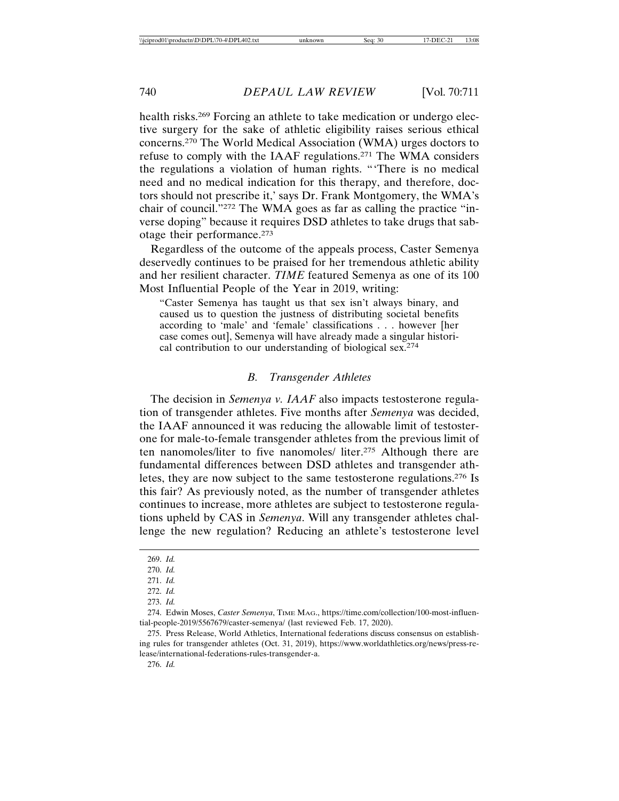health risks.<sup>269</sup> Forcing an athlete to take medication or undergo elective surgery for the sake of athletic eligibility raises serious ethical concerns.270 The World Medical Association (WMA) urges doctors to refuse to comply with the IAAF regulations.271 The WMA considers the regulations a violation of human rights. "'There is no medical need and no medical indication for this therapy, and therefore, doctors should not prescribe it,' says Dr. Frank Montgomery, the WMA's chair of council."272 The WMA goes as far as calling the practice "inverse doping" because it requires DSD athletes to take drugs that sabotage their performance.273

Regardless of the outcome of the appeals process, Caster Semenya deservedly continues to be praised for her tremendous athletic ability and her resilient character. *TIME* featured Semenya as one of its 100 Most Influential People of the Year in 2019, writing:

"Caster Semenya has taught us that sex isn't always binary, and caused us to question the justness of distributing societal benefits according to 'male' and 'female' classifications . . . however [her case comes out], Semenya will have already made a singular historical contribution to our understanding of biological sex.274

#### *B. Transgender Athletes*

The decision in *Semenya v. IAAF* also impacts testosterone regulation of transgender athletes. Five months after *Semenya* was decided, the IAAF announced it was reducing the allowable limit of testosterone for male-to-female transgender athletes from the previous limit of ten nanomoles/liter to five nanomoles/ liter.275 Although there are fundamental differences between DSD athletes and transgender athletes, they are now subject to the same testosterone regulations.276 Is this fair? As previously noted, as the number of transgender athletes continues to increase, more athletes are subject to testosterone regulations upheld by CAS in *Semenya*. Will any transgender athletes challenge the new regulation? Reducing an athlete's testosterone level

<sup>269.</sup> *Id.*

<sup>270.</sup> *Id.*

<sup>271.</sup> *Id.*

<sup>272.</sup> *Id.*

<sup>273.</sup> *Id.*

<sup>274.</sup> Edwin Moses, *Caster Semenya*, TIME MAG., https://time.com/collection/100-most-influential-people-2019/5567679/caster-semenya/ (last reviewed Feb. 17, 2020).

<sup>275.</sup> Press Release, World Athletics, International federations discuss consensus on establishing rules for transgender athletes (Oct. 31, 2019), https://www.worldathletics.org/news/press-release/international-federations-rules-transgender-a.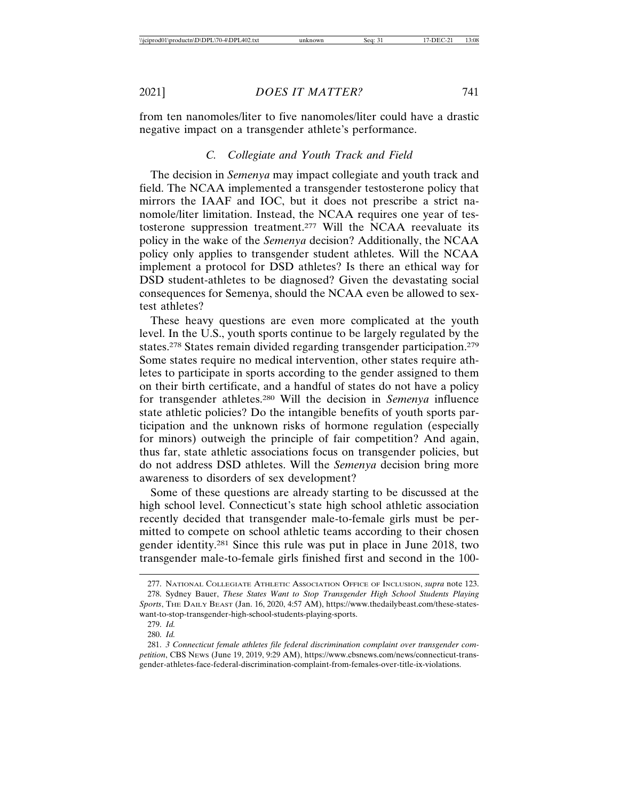from ten nanomoles/liter to five nanomoles/liter could have a drastic negative impact on a transgender athlete's performance.

## *C. Collegiate and Youth Track and Field*

The decision in *Semenya* may impact collegiate and youth track and field. The NCAA implemented a transgender testosterone policy that mirrors the IAAF and IOC, but it does not prescribe a strict nanomole/liter limitation. Instead, the NCAA requires one year of testosterone suppression treatment.277 Will the NCAA reevaluate its policy in the wake of the *Semenya* decision? Additionally, the NCAA policy only applies to transgender student athletes. Will the NCAA implement a protocol for DSD athletes? Is there an ethical way for DSD student-athletes to be diagnosed? Given the devastating social consequences for Semenya, should the NCAA even be allowed to sextest athletes?

These heavy questions are even more complicated at the youth level. In the U.S., youth sports continue to be largely regulated by the states.278 States remain divided regarding transgender participation.279 Some states require no medical intervention, other states require athletes to participate in sports according to the gender assigned to them on their birth certificate, and a handful of states do not have a policy for transgender athletes.280 Will the decision in *Semenya* influence state athletic policies? Do the intangible benefits of youth sports participation and the unknown risks of hormone regulation (especially for minors) outweigh the principle of fair competition? And again, thus far, state athletic associations focus on transgender policies, but do not address DSD athletes. Will the *Semenya* decision bring more awareness to disorders of sex development?

Some of these questions are already starting to be discussed at the high school level. Connecticut's state high school athletic association recently decided that transgender male-to-female girls must be permitted to compete on school athletic teams according to their chosen gender identity.281 Since this rule was put in place in June 2018, two transgender male-to-female girls finished first and second in the 100-

<sup>277.</sup> NATIONAL COLLEGIATE ATHLETIC ASSOCIATION OFFICE OF INCLUSION, *supra* note 123.

<sup>278.</sup> Sydney Bauer, *These States Want to Stop Transgender High School Students Playing Sports*, THE DAILY BEAST (Jan. 16, 2020, 4:57 AM), https://www.thedailybeast.com/these-stateswant-to-stop-transgender-high-school-students-playing-sports.

<sup>279.</sup> *Id.*

<sup>280.</sup> *Id.*

<sup>281.</sup> *3 Connecticut female athletes file federal discrimination complaint over transgender competition*, CBS NEWS (June 19, 2019, 9:29 AM), https://www.cbsnews.com/news/connecticut-transgender-athletes-face-federal-discrimination-complaint-from-females-over-title-ix-violations.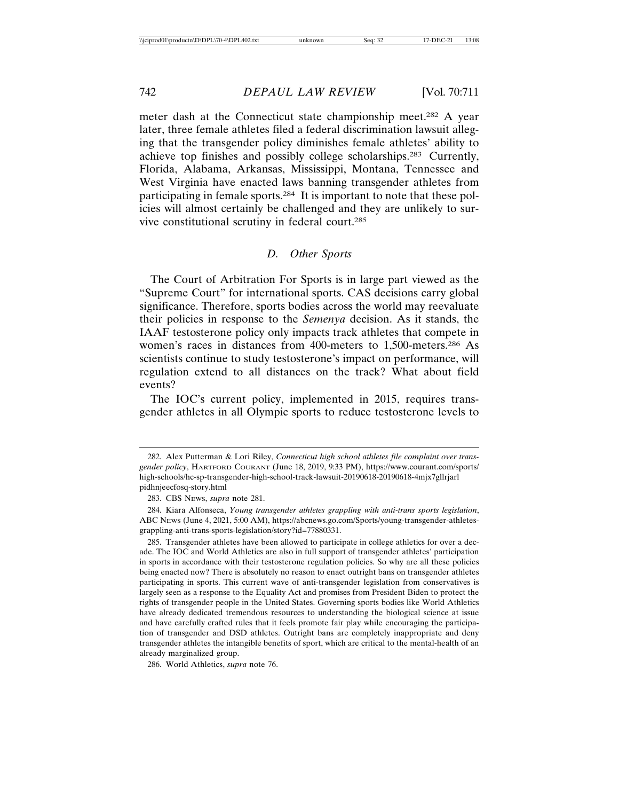meter dash at the Connecticut state championship meet.<sup>282</sup> A year later, three female athletes filed a federal discrimination lawsuit alleging that the transgender policy diminishes female athletes' ability to achieve top finishes and possibly college scholarships.283 Currently, Florida, Alabama, Arkansas, Mississippi, Montana, Tennessee and West Virginia have enacted laws banning transgender athletes from participating in female sports.284 It is important to note that these policies will almost certainly be challenged and they are unlikely to survive constitutional scrutiny in federal court.285

## *D. Other Sports*

The Court of Arbitration For Sports is in large part viewed as the "Supreme Court" for international sports. CAS decisions carry global significance. Therefore, sports bodies across the world may reevaluate their policies in response to the *Semenya* decision. As it stands, the IAAF testosterone policy only impacts track athletes that compete in women's races in distances from 400-meters to 1,500-meters.286 As scientists continue to study testosterone's impact on performance, will regulation extend to all distances on the track? What about field events?

The IOC's current policy, implemented in 2015, requires transgender athletes in all Olympic sports to reduce testosterone levels to

286. World Athletics, *supra* note 76.

<sup>282.</sup> Alex Putterman & Lori Riley, *Connecticut high school athletes file complaint over transgender policy*, HARTFORD COURANT (June 18, 2019, 9:33 PM), https://www.courant.com/sports/ high-schools/hc-sp-transgender-high-school-track-lawsuit-20190618-20190618-4mjx7gllrjarl pidhnjeecfosq-story.html

<sup>283.</sup> CBS NEWS, *supra* note 281.

<sup>284.</sup> Kiara Alfonseca, *Young transgender athletes grappling with anti-trans sports legislation*, ABC NEWS (June 4, 2021, 5:00 AM), https://abcnews.go.com/Sports/young-transgender-athletesgrappling-anti-trans-sports-legislation/story?id=77880331.

<sup>285.</sup> Transgender athletes have been allowed to participate in college athletics for over a decade. The IOC and World Athletics are also in full support of transgender athletes' participation in sports in accordance with their testosterone regulation policies. So why are all these policies being enacted now? There is absolutely no reason to enact outright bans on transgender athletes participating in sports. This current wave of anti-transgender legislation from conservatives is largely seen as a response to the Equality Act and promises from President Biden to protect the rights of transgender people in the United States. Governing sports bodies like World Athletics have already dedicated tremendous resources to understanding the biological science at issue and have carefully crafted rules that it feels promote fair play while encouraging the participation of transgender and DSD athletes. Outright bans are completely inappropriate and deny transgender athletes the intangible benefits of sport, which are critical to the mental-health of an already marginalized group.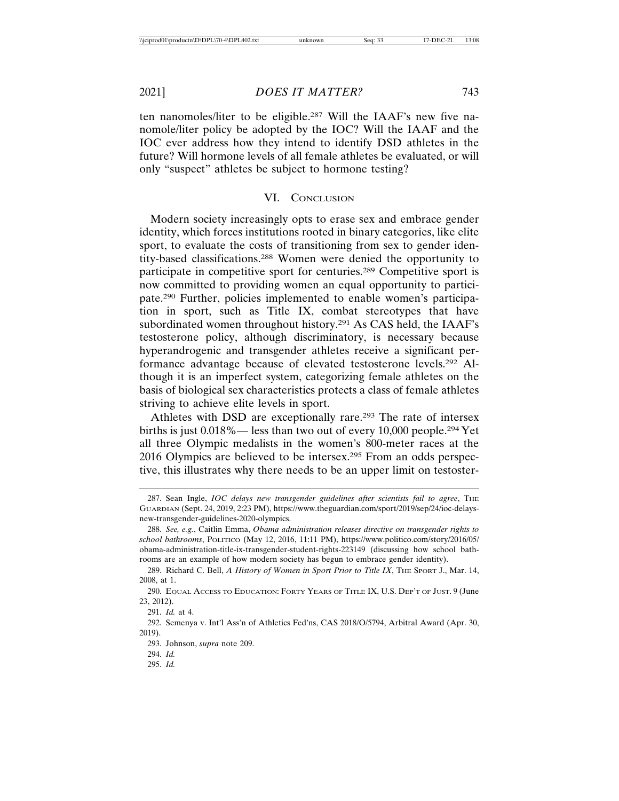ten nanomoles/liter to be eligible.287 Will the IAAF's new five nanomole/liter policy be adopted by the IOC? Will the IAAF and the IOC ever address how they intend to identify DSD athletes in the future? Will hormone levels of all female athletes be evaluated, or will only "suspect" athletes be subject to hormone testing?

#### VI. CONCLUSION

Modern society increasingly opts to erase sex and embrace gender identity, which forces institutions rooted in binary categories, like elite sport, to evaluate the costs of transitioning from sex to gender identity-based classifications.288 Women were denied the opportunity to participate in competitive sport for centuries.289 Competitive sport is now committed to providing women an equal opportunity to participate.290 Further, policies implemented to enable women's participation in sport, such as Title IX, combat stereotypes that have subordinated women throughout history.291 As CAS held, the IAAF's testosterone policy, although discriminatory, is necessary because hyperandrogenic and transgender athletes receive a significant performance advantage because of elevated testosterone levels.292 Although it is an imperfect system, categorizing female athletes on the basis of biological sex characteristics protects a class of female athletes striving to achieve elite levels in sport.

Athletes with DSD are exceptionally rare.<sup>293</sup> The rate of intersex births is just 0.018%— less than two out of every 10,000 people.294 Yet all three Olympic medalists in the women's 800-meter races at the 2016 Olympics are believed to be intersex.295 From an odds perspective, this illustrates why there needs to be an upper limit on testoster-

<sup>287.</sup> Sean Ingle, *IOC delays new transgender guidelines after scientists fail to agree*, THE GUARDIAN (Sept. 24, 2019, 2:23 PM), https://www.theguardian.com/sport/2019/sep/24/ioc-delaysnew-transgender-guidelines-2020-olympics.

<sup>288.</sup> *See, e.g.*, Caitlin Emma, *Obama administration releases directive on transgender rights to school bathrooms*, POLITICO (May 12, 2016, 11:11 PM), https://www.politico.com/story/2016/05/ obama-administration-title-ix-transgender-student-rights-223149 (discussing how school bathrooms are an example of how modern society has begun to embrace gender identity).

<sup>289.</sup> Richard C. Bell, *A History of Women in Sport Prior to Title IX*, THE SPORT J., Mar. 14, 2008, at 1.

<sup>290.</sup> EQUAL ACCESS TO EDUCATION: FORTY YEARS OF TITLE IX, U.S. DEP'T OF JUST. 9 (June 23, 2012).

<sup>291.</sup> *Id.* at 4.

<sup>292.</sup> Semenya v. Int'l Ass'n of Athletics Fed'ns, CAS 2018/O/5794, Arbitral Award (Apr. 30, 2019).

<sup>293.</sup> Johnson, *supra* note 209.

<sup>294.</sup> *Id.*

<sup>295.</sup> *Id.*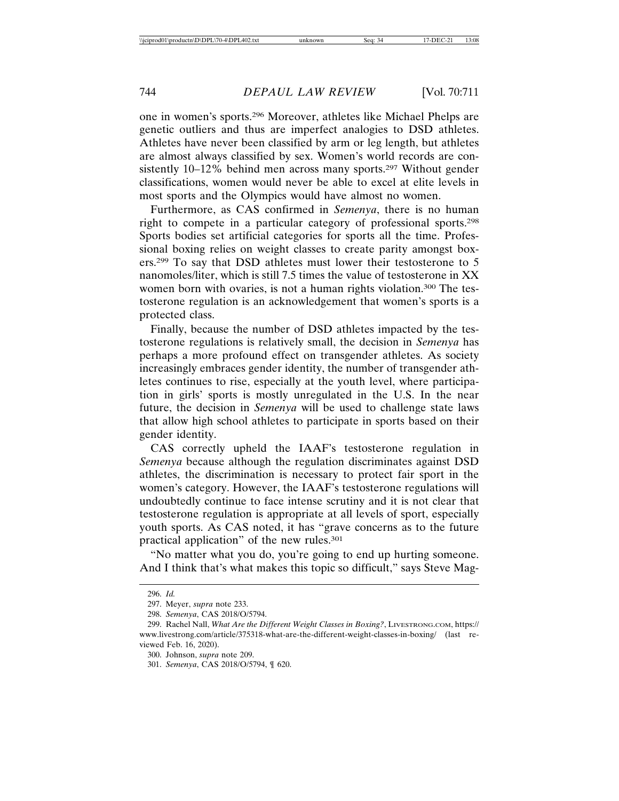one in women's sports.296 Moreover, athletes like Michael Phelps are genetic outliers and thus are imperfect analogies to DSD athletes. Athletes have never been classified by arm or leg length, but athletes are almost always classified by sex. Women's world records are consistently 10–12% behind men across many sports.297 Without gender classifications, women would never be able to excel at elite levels in most sports and the Olympics would have almost no women.

Furthermore, as CAS confirmed in *Semenya*, there is no human right to compete in a particular category of professional sports.298 Sports bodies set artificial categories for sports all the time. Professional boxing relies on weight classes to create parity amongst boxers.299 To say that DSD athletes must lower their testosterone to 5 nanomoles/liter, which is still 7.5 times the value of testosterone in XX women born with ovaries, is not a human rights violation.<sup>300</sup> The testosterone regulation is an acknowledgement that women's sports is a protected class.

Finally, because the number of DSD athletes impacted by the testosterone regulations is relatively small, the decision in *Semenya* has perhaps a more profound effect on transgender athletes. As society increasingly embraces gender identity, the number of transgender athletes continues to rise, especially at the youth level, where participation in girls' sports is mostly unregulated in the U.S. In the near future, the decision in *Semenya* will be used to challenge state laws that allow high school athletes to participate in sports based on their gender identity.

CAS correctly upheld the IAAF's testosterone regulation in *Semenya* because although the regulation discriminates against DSD athletes, the discrimination is necessary to protect fair sport in the women's category. However, the IAAF's testosterone regulations will undoubtedly continue to face intense scrutiny and it is not clear that testosterone regulation is appropriate at all levels of sport, especially youth sports. As CAS noted, it has "grave concerns as to the future practical application" of the new rules.301

"No matter what you do, you're going to end up hurting someone. And I think that's what makes this topic so difficult," says Steve Mag-

<sup>296.</sup> *Id.*

<sup>297.</sup> Meyer, *supra* note 233.

<sup>298.</sup> *Semenya*, CAS 2018/O/5794.

<sup>299.</sup> Rachel Nall, *What Are the Different Weight Classes in Boxing?*, LIVESTRONG.COM, https:// www.livestrong.com/article/375318-what-are-the-different-weight-classes-in-boxing/ (last reviewed Feb. 16, 2020).

<sup>300.</sup> Johnson, *supra* note 209.

<sup>301.</sup> *Semenya*, CAS 2018/O/5794, ¶ 620.